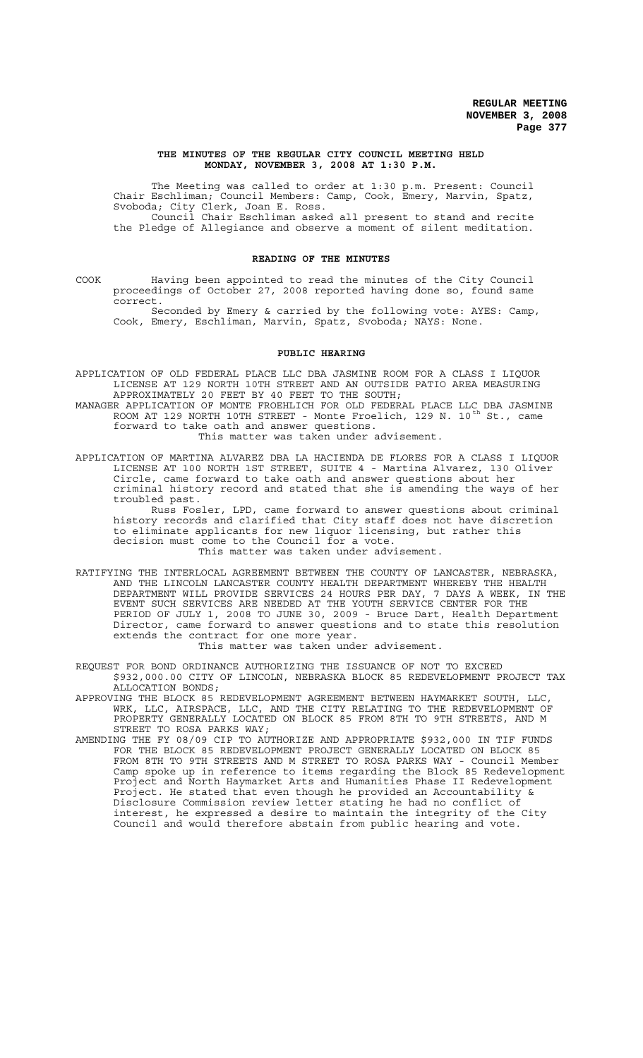#### **THE MINUTES OF THE REGULAR CITY COUNCIL MEETING HELD MONDAY, NOVEMBER 3, 2008 AT 1:30 P.M.**

The Meeting was called to order at 1:30 p.m. Present: Council Chair Eschliman; Council Members: Camp, Cook, Emery, Marvin, Spatz, Svoboda; City Clerk, Joan E. Ross. Council Chair Eschliman asked all present to stand and recite

the Pledge of Allegiance and observe a moment of silent meditation.

## **READING OF THE MINUTES**

COOK Having been appointed to read the minutes of the City Council proceedings of October 27, 2008 reported having done so, found same correct.

Seconded by Emery & carried by the following vote: AYES: Camp, Cook, Emery, Eschliman, Marvin, Spatz, Svoboda; NAYS: None.

## **PUBLIC HEARING**

APPLICATION OF OLD FEDERAL PLACE LLC DBA JASMINE ROOM FOR A CLASS I LIQUOR LICENSE AT 129 NORTH 10TH STREET AND AN OUTSIDE PATIO AREA MEASURING APPROXIMATELY 20 FEET BY 40 FEET TO THE SOUTH;

MANAGER APPLICATION OF MONTE FROEHLICH FOR OLD FEDERAL PLACE LLC DBA JASMINE ROOM AT 129 NORTH 10TH STREET - Monte Froelich, 129 N. 10<sup>th</sup> St., came forward to take oath and answer questions.

This matter was taken under advisement.

APPLICATION OF MARTINA ALVAREZ DBA LA HACIENDA DE FLORES FOR A CLASS I LIQUOR LICENSE AT 100 NORTH 1ST STREET, SUITE 4 - Martina Alvarez, 130 Oliver Circle, came forward to take oath and answer questions about her criminal history record and stated that she is amending the ways of her troubled past.

Russ Fosler, LPD, came forward to answer questions about criminal history records and clarified that City staff does not have discretion to eliminate applicants for new liquor licensing, but rather this decision must come to the Council for a vote. This matter was taken under advisement.

RATIFYING THE INTERLOCAL AGREEMENT BETWEEN THE COUNTY OF LANCASTER, NEBRASKA, AND THE LINCOLN LANCASTER COUNTY HEALTH DEPARTMENT WHEREBY THE HEALTH DEPARTMENT WILL PROVIDE SERVICES 24 HOURS PER DAY, 7 DAYS A WEEK, IN THE EVENT SUCH SERVICES ARE NEEDED AT THE YOUTH SERVICE CENTER FOR THE PERIOD OF JULY 1, 2008 TO JUNE 30, 2009 - Bruce Dart, Health Department Director, came forward to answer questions and to state this resolution extends the contract for one more year.

This matter was taken under advisement.

REQUEST FOR BOND ORDINANCE AUTHORIZING THE ISSUANCE OF NOT TO EXCEED \$932,000.00 CITY OF LINCOLN, NEBRASKA BLOCK 85 REDEVELOPMENT PROJECT TAX ALLOCATION BONDS;

APPROVING THE BLOCK 85 REDEVELOPMENT AGREEMENT BETWEEN HAYMARKET SOUTH, LLC, WRK, LLC, AIRSPACE, LLC, AND THE CITY RELATING TO THE REDEVELOPMENT OF PROPERTY GENERALLY LOCATED ON BLOCK 85 FROM 8TH TO 9TH STREETS, AND M STREET TO ROSA PARKS WAY;

AMENDING THE FY 08/09 CIP TO AUTHORIZE AND APPROPRIATE \$932,000 IN TIF FUNDS FOR THE BLOCK 85 REDEVELOPMENT PROJECT GENERALLY LOCATED ON BLOCK 85 FROM 8TH TO 9TH STREETS AND M STREET TO ROSA PARKS WAY - Council Member Camp spoke up in reference to items regarding the Block 85 Redevelopment Project and North Haymarket Arts and Humanities Phase II Redevelopment Project. He stated that even though he provided an Accountability & Disclosure Commission review letter stating he had no conflict of interest, he expressed a desire to maintain the integrity of the City Council and would therefore abstain from public hearing and vote.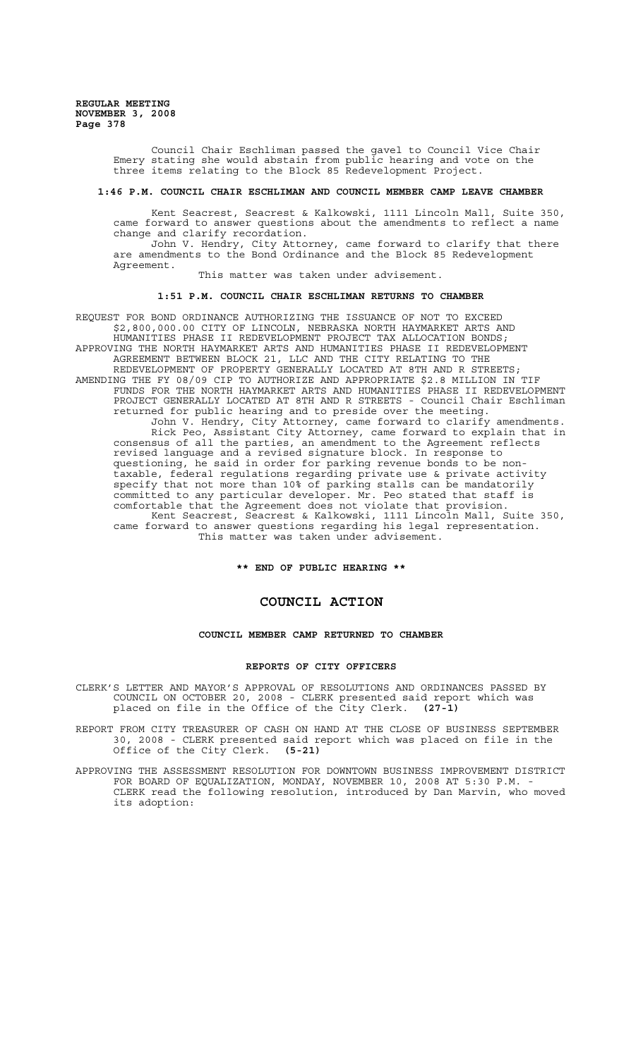> Council Chair Eschliman passed the gavel to Council Vice Chair Emery stating she would abstain from public hearing and vote on the three items relating to the Block 85 Redevelopment Project.

#### **1:46 P.M. COUNCIL CHAIR ESCHLIMAN AND COUNCIL MEMBER CAMP LEAVE CHAMBER**

Kent Seacrest, Seacrest & Kalkowski, 1111 Lincoln Mall, Suite 350, came forward to answer questions about the amendments to reflect a name change and clarify recordation.

John V. Hendry, City Attorney, came forward to clarify that there are amendments to the Bond Ordinance and the Block 85 Redevelopment Agreement.

This matter was taken under advisement.

## **1:51 P.M. COUNCIL CHAIR ESCHLIMAN RETURNS TO CHAMBER**

REQUEST FOR BOND ORDINANCE AUTHORIZING THE ISSUANCE OF NOT TO EXCEED \$2,800,000.00 CITY OF LINCOLN, NEBRASKA NORTH HAYMARKET ARTS AND HUMANITIES PHASE II REDEVELOPMENT PROJECT TAX ALLOCATION BONDS; APPROVING THE NORTH HAYMARKET ARTS AND HUMANITIES PHASE II REDEVELOPMENT AGREEMENT BETWEEN BLOCK 21, LLC AND THE CITY RELATING TO THE REDEVELOPMENT OF PROPERTY GENERALLY LOCATED AT 8TH AND R STREETS; AMENDING THE FY 08/09 CIP TO AUTHORIZE AND APPROPRIATE \$2.8 MILLION IN TIF FUNDS FOR THE NORTH HAYMARKET ARTS AND HUMANITIES PHASE II REDEVELOPMENT PROJECT GENERALLY LOCATED AT 8TH AND R STREETS - Council Chair Eschliman returned for public hearing and to preside over the meeting. John V. Hendry, City Attorney, came forward to clarify amendments. Rick Peo, Assistant City Attorney, came forward to explain that in consensus of all the parties, an amendment to the Agreement reflects revised language and a revised signature block. In response to questioning, he said in order for parking revenue bonds to be nontaxable, federal regulations regarding private use & private activity specify that not more than 10% of parking stalls can be mandatorily committed to any particular developer. Mr. Peo stated that staff is comfortable that the Agreement does not violate that provision. Kent Seacrest, Seacrest & Kalkowski, 1111 Lincoln Mall, Suite 350, came forward to answer questions regarding his legal representation. This matter was taken under advisement.

**\*\* END OF PUBLIC HEARING \*\***

## **COUNCIL ACTION**

## **COUNCIL MEMBER CAMP RETURNED TO CHAMBER**

#### **REPORTS OF CITY OFFICERS**

CLERK'S LETTER AND MAYOR'S APPROVAL OF RESOLUTIONS AND ORDINANCES PASSED BY COUNCIL ON OCTOBER 20, 2008 - CLERK presented said report which was placed on file in the Office of the City Clerk. **(27-1)**

REPORT FROM CITY TREASURER OF CASH ON HAND AT THE CLOSE OF BUSINESS SEPTEMBER 30, 2008 - CLERK presented said report which was placed on file in the Office of the City Clerk. **(5-21)**

APPROVING THE ASSESSMENT RESOLUTION FOR DOWNTOWN BUSINESS IMPROVEMENT DISTRICT FOR BOARD OF EQUALIZATION, MONDAY, NOVEMBER 10, 2008 AT 5:30 P.M. - CLERK read the following resolution, introduced by Dan Marvin, who moved its adoption: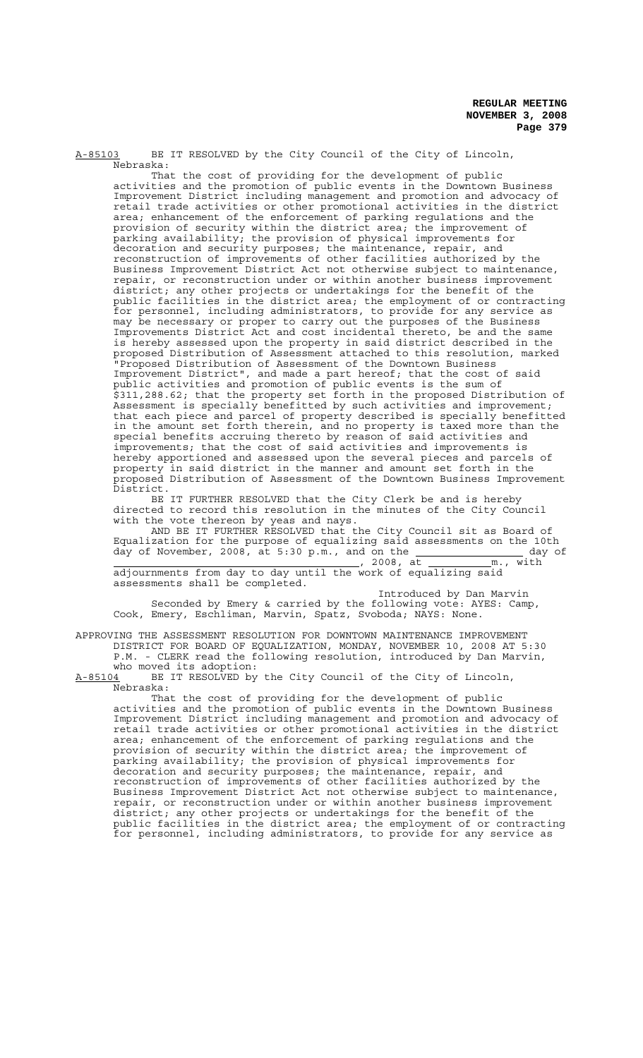A-85103 BE IT RESOLVED by the City Council of the City of Lincoln, Nebraska:

That the cost of providing for the development of public activities and the promotion of public events in the Downtown Business Improvement District including management and promotion and advocacy of retail trade activities or other promotional activities in the district area; enhancement of the enforcement of parking regulations and the provision of security within the district area; the improvement of parking availability; the provision of physical improvements for decoration and security purposes; the maintenance, repair, and reconstruction of improvements of other facilities authorized by the Business Improvement District Act not otherwise subject to maintenance, repair, or reconstruction under or within another business improvement district; any other projects or undertakings for the benefit of the public facilities in the district area; the employment of or contracting for personnel, including administrators, to provide for any service as may be necessary or proper to carry out the purposes of the Business Improvements District Act and cost incidental thereto, be and the same is hereby assessed upon the property in said district described in the proposed Distribution of Assessment attached to this resolution, marked "Proposed Distribution of Assessment of the Downtown Business Improvement District", and made a part hereof; that the cost of said public activities and promotion of public events is the sum of \$311,288.62; that the property set forth in the proposed Distribution of Assessment is specially benefitted by such activities and improvement; that each piece and parcel of property described is specially benefitted in the amount set forth therein, and no property is taxed more than the special benefits accruing thereto by reason of said activities and improvements; that the cost of said activities and improvements is hereby apportioned and assessed upon the several pieces and parcels of property in said district in the manner and amount set forth in the proposed Distribution of Assessment of the Downtown Business Improvement District.

BE IT FURTHER RESOLVED that the City Clerk be and is hereby directed to record this resolution in the minutes of the City Council with the vote thereon by yeas and nays.

AND BE IT FURTHER RESOLVED that the City Council sit as Board of Equalization for the purpose of equalizing said assessments on the 10th day of November, 2008, at 5:30  $p.m.$ , and on the  $\underline{\hspace{1cm}}$  and  $\underline{\hspace{1cm}}$  day of , 2008, at <u>m., with manufacture</u>, 2008, at <u>m.</u>, with adjournments from day to day until the work of equalizing said

assessments shall be completed. Introduced by Dan Marvin

Seconded by Emery & carried by the following vote: AYES: Camp, Cook, Emery, Eschliman, Marvin, Spatz, Svoboda; NAYS: None.

APPROVING THE ASSESSMENT RESOLUTION FOR DOWNTOWN MAINTENANCE IMPROVEMENT DISTRICT FOR BOARD OF EQUALIZATION, MONDAY, NOVEMBER 10, 2008 AT 5:30 P.M. - CLERK read the following resolution, introduced by Dan Marvin,

who moved its adoption:<br>A-85104 BE IT RESOLVED by BE IT RESOLVED by the City Council of the City of Lincoln, Nebraska:

That the cost of providing for the development of public activities and the promotion of public events in the Downtown Business Improvement District including management and promotion and advocacy of retail trade activities or other promotional activities in the district area; enhancement of the enforcement of parking regulations and the provision of security within the district area; the improvement of parking availability; the provision of physical improvements for decoration and security purposes; the maintenance, repair, and reconstruction of improvements of other facilities authorized by the Business Improvement District Act not otherwise subject to maintenance, repair, or reconstruction under or within another business improvement district; any other projects or undertakings for the benefit of the public facilities in the district area; the employment of or contracting for personnel, including administrators, to provide for any service as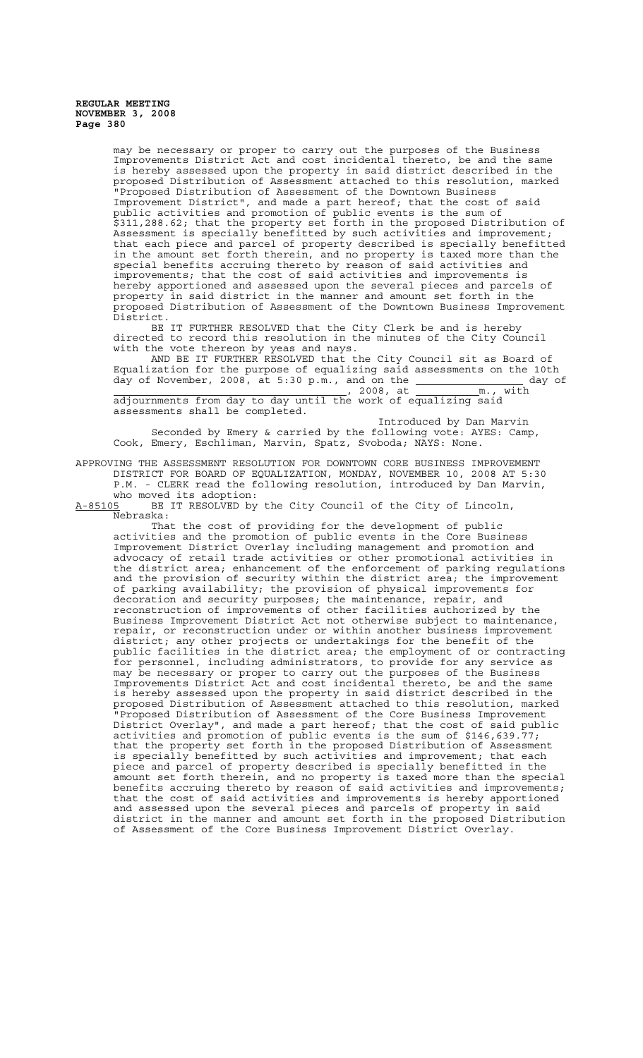may be necessary or proper to carry out the purposes of the Business Improvements District Act and cost incidental thereto, be and the same is hereby assessed upon the property in said district described in the proposed Distribution of Assessment attached to this resolution, marked "Proposed Distribution of Assessment of the Downtown Business Improvement District", and made a part hereof; that the cost of said public activities and promotion of public events is the sum of \$311,288.62; that the property set forth in the proposed Distribution of Assessment is specially benefitted by such activities and improvement; that each piece and parcel of property described is specially benefitted in the amount set forth therein, and no property is taxed more than the special benefits accruing thereto by reason of said activities and improvements; that the cost of said activities and improvements is hereby apportioned and assessed upon the several pieces and parcels of property in said district in the manner and amount set forth in the proposed Distribution of Assessment of the Downtown Business Improvement District.

BE IT FURTHER RESOLVED that the City Clerk be and is hereby directed to record this resolution in the minutes of the City Council with the vote thereon by yeas and nays.

AND BE IT FURTHER RESOLVED that the City Council sit as Board of Equalization for the purpose of equalizing said assessments on the 10th day of November, 2008, at 5:30  $p.m.,$  and on the  $\underline{\hspace{1cm}}$  and  $\underline{\hspace{1cm}}$  and  $\underline{\hspace{1cm}}$  and  $\underline{\hspace{1cm}}$  and  $\underline{\hspace{1cm}}$ , 2008, at m., with

adjournments from day to day until the work of equalizing said assessments shall be completed.

Introduced by Dan Marvin Seconded by Emery & carried by the following vote: AYES: Camp, Cook, Emery, Eschliman, Marvin, Spatz, Svoboda; NAYS: None.

APPROVING THE ASSESSMENT RESOLUTION FOR DOWNTOWN CORE BUSINESS IMPROVEMENT DISTRICT FOR BOARD OF EQUALIZATION, MONDAY, NOVEMBER 10, 2008 AT 5:30 P.M. - CLERK read the following resolution, introduced by Dan Marvin, who moved its adoption:

A-85105 BE IT RESOLVED by the City Council of the City of Lincoln,  $A-85105$  BE<br>Nebraska:

That the cost of providing for the development of public activities and the promotion of public events in the Core Business Improvement District Overlay including management and promotion and advocacy of retail trade activities or other promotional activities in the district area; enhancement of the enforcement of parking regulations and the provision of security within the district area; the improvement of parking availability; the provision of physical improvements for decoration and security purposes; the maintenance, repair, and reconstruction of improvements of other facilities authorized by the Business Improvement District Act not otherwise subject to maintenance, repair, or reconstruction under or within another business improvement district; any other projects or undertakings for the benefit of the public facilities in the district area; the employment of or contracting for personnel, including administrators, to provide for any service as may be necessary or proper to carry out the purposes of the Business Improvements District Act and cost incidental thereto, be and the same is hereby assessed upon the property in said district described in the proposed Distribution of Assessment attached to this resolution, marked "Proposed Distribution of Assessment of the Core Business Improvement District Overlay", and made a part hereof; that the cost of said public activities and promotion of public events is the sum of \$146,639.77; that the property set forth in the proposed Distribution of Assessment is specially benefitted by such activities and improvement; that each piece and parcel of property described is specially benefitted in the amount set forth therein, and no property is taxed more than the special benefits accruing thereto by reason of said activities and improvements; that the cost of said activities and improvements is hereby apportioned and assessed upon the several pieces and parcels of property in said district in the manner and amount set forth in the proposed Distribution of Assessment of the Core Business Improvement District Overlay.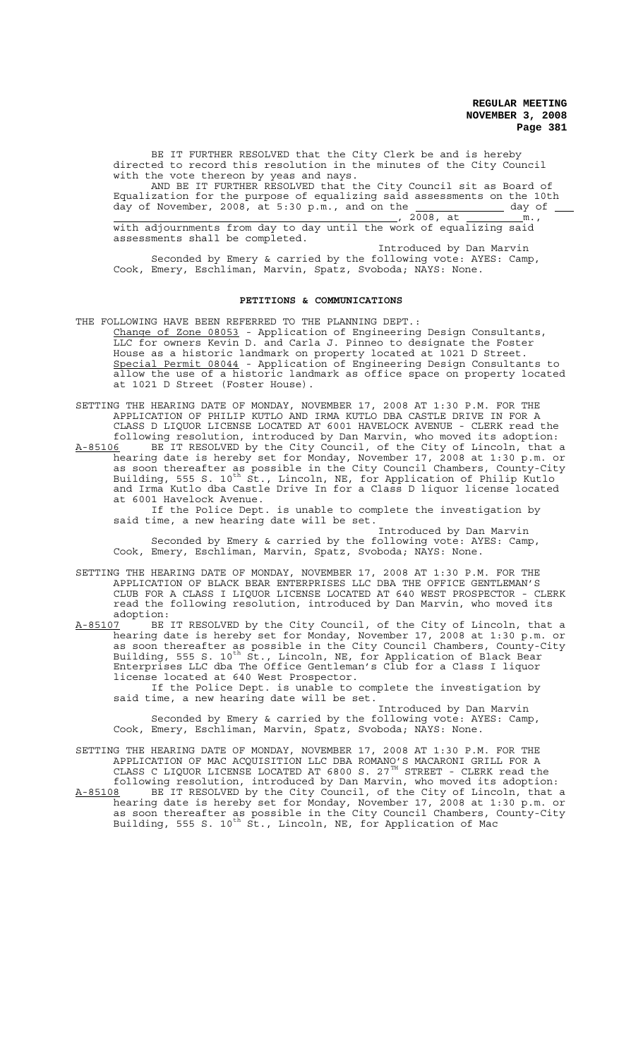BE IT FURTHER RESOLVED that the City Clerk be and is hereby directed to record this resolution in the minutes of the City Council with the vote thereon by yeas and nays. AND BE IT FURTHER RESOLVED that the City Council sit as Board of Equalization for the purpose of equalizing said assessments on the 10th day of November, 2008, at 5:30 p.m., and on the  $\overline{\phantom{a}}$  and  $\overline{\phantom{a}}$  day of , 2008, at  $\frac{m}{2008}$ ,  $\frac{m}{2008}$ ,  $\frac{m}{2008}$ ,  $\frac{m}{2008}$ ,  $\frac{m}{2008}$ ,  $\frac{m}{2008}$ with adjournments from day to day until the work of equalizing said

assessments shall be completed. Introduced by Dan Marvin

Seconded by Emery & carried by the following vote: AYES: Camp, Cook, Emery, Eschliman, Marvin, Spatz, Svoboda; NAYS: None.

## **PETITIONS & COMMUNICATIONS**

THE FOLLOWING HAVE BEEN REFERRED TO THE PLANNING DEPT.: Change of Zone 08053 - Application of Engineering Design Consultants, LLC for owners Kevin D. and Carla J. Pinneo to designate the Foster House as a historic landmark on property located at 1021 D Street. Special Permit 08044 - Application of Engineering Design Consultants to allow the use of a historic landmark as office space on property located at 1021 D Street (Foster House).

SETTING THE HEARING DATE OF MONDAY, NOVEMBER 17, 2008 AT 1:30 P.M. FOR THE APPLICATION OF PHILIP KUTLO AND IRMA KUTLO DBA CASTLE DRIVE IN FOR A CLASS D LIQUOR LICENSE LOCATED AT 6001 HAVELOCK AVENUE - CLERK read the following resolution, introduced by Dan Marvin, who moved its adoption: A-85106 BE IT RESOLVED by the City Council, of the City of Lincoln, that a hearing date is hereby set for Monday, November 17, 2008 at 1:30 p.m. or

as soon thereafter as possible in the City Council Chambers, County-City Building, 555 S. 10<sup>th</sup> St., Lincoln, NE, for Application of Philip Kutlo and Irma Kutlo dba Castle Drive In for a Class D liquor license located at 6001 Havelock Avenue.

If the Police Dept. is unable to complete the investigation by said time, a new hearing date will be set.

Introduced by Dan Marvin Seconded by Emery & carried by the following vote: AYES: Camp, Cook, Emery, Eschliman, Marvin, Spatz, Svoboda; NAYS: None.

SETTING THE HEARING DATE OF MONDAY, NOVEMBER 17, 2008 AT 1:30 P.M. FOR THE APPLICATION OF BLACK BEAR ENTERPRISES LLC DBA THE OFFICE GENTLEMAN'S CLUB FOR A CLASS I LIQUOR LICENSE LOCATED AT 640 WEST PROSPECTOR - CLERK read the following resolution, introduced by Dan Marvin, who moved its adoption:

A-85107 BE IT RESOLVED by the City Council, of the City of Lincoln, that a hearing date is hereby set for Monday, November 17, 2008 at 1:30 p.m. or as soon thereafter as possible in the City Council Chambers, County-City Building, 555 S. 10<sup>th</sup> St., Lincoln, NE, for Application of Black Bear Enterprises LLC dba The Office Gentleman's Club for a Class I liquor license located at 640 West Prospector.

If the Police Dept. is unable to complete the investigation by said time, a new hearing date will be set.

Introduced by Dan Marvin Seconded by Emery & carried by the following vote: AYES: Camp, Cook, Emery, Eschliman, Marvin, Spatz, Svoboda; NAYS: None.

SETTING THE HEARING DATE OF MONDAY, NOVEMBER 17, 2008 AT 1:30 P.M. FOR THE APPLICATION OF MAC ACQUISITION LLC DBA ROMANO'S MACARONI GRILL FOR A CLASS C LIQUOR LICENSE LOCATED AT 6800 S. 27 $^{TH}$  STREET - CLERK read the

following resolution, introduced by Dan Marvin, who moved its adoption: A-85108 BE IT RESOLVED by the City Council, of the City of Lincoln, that a hearing date is hereby set for Monday, November 17, 2008 at 1:30 p.m. or as soon thereafter as possible in the City Council Chambers, County-City Building, 555 S. 10<sup>th</sup> St., Lincoln, NE, for Application of Mac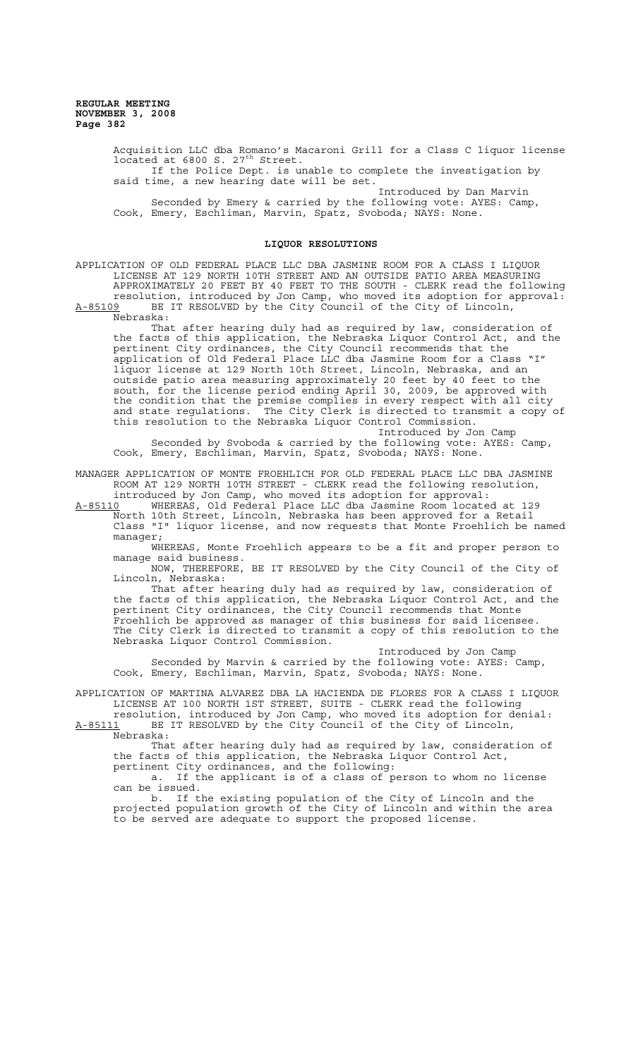> Acquisition LLC dba Romano's Macaroni Grill for a Class C liquor license located at  $6800$  S.  $27^{\text{th}}$  Street. If the Police Dept. is unable to complete the investigation by

said time, a new hearing date will be set. Introduced by Dan Marvin

Seconded by Emery & carried by the following vote: AYES: Camp, Cook, Emery, Eschliman, Marvin, Spatz, Svoboda; NAYS: None.

## **LIQUOR RESOLUTIONS**

APPLICATION OF OLD FEDERAL PLACE LLC DBA JASMINE ROOM FOR A CLASS I LIQUOR LICENSE AT 129 NORTH 10TH STREET AND AN OUTSIDE PATIO AREA MEASURING APPROXIMATELY 20 FEET BY 40 FEET TO THE SOUTH - CLERK read the following resolution, introduced by Jon Camp, who moved its adoption for approval:<br>A-85109 BE IT RESOLVED by the City Council of the City of Lincoln, BE IT RESOLVED by the City Council of the City of Lincoln, Nebraska:

That after hearing duly had as required by law, consideration of the facts of this application, the Nebraska Liquor Control Act, and the pertinent City ordinances, the City Council recommends that the application of Old Federal Place LLC dba Jasmine Room for a Class "I" liquor license at 129 North 10th Street, Lincoln, Nebraska, and an outside patio area measuring approximately 20 feet by 40 feet to the south, for the license period ending April 30, 2009, be approved with the condition that the premise complies in every respect with all city and state regulations. The City Clerk is directed to transmit a copy of this resolution to the Nebraska Liquor Control Commission.

Introduced by Jon Camp Seconded by Svoboda & carried by the following vote: AYES: Camp, Cook, Emery, Eschliman, Marvin, Spatz, Svoboda; NAYS: None.

MANAGER APPLICATION OF MONTE FROEHLICH FOR OLD FEDERAL PLACE LLC DBA JASMINE ROOM AT 129 NORTH 10TH STREET - CLERK read the following resolution, introduced by Jon Camp, who moved its adoption for approval:

A-85110 WHEREAS, Old Federal Place LLC dba Jasmine Room located at 129 North 10th Street, Lincoln, Nebraska has been approved for a Retail Class "I" liquor license, and now requests that Monte Froehlich be named manager;

WHEREAS, Monte Froehlich appears to be a fit and proper person to manage said business.

NOW, THEREFORE, BE IT RESOLVED by the City Council of the City of Lincoln, Nebraska:

That after hearing duly had as required by law, consideration of the facts of this application, the Nebraska Liquor Control Act, and the pertinent City ordinances, the City Council recommends that Monte Froehlich be approved as manager of this business for said licensee. The City Clerk is directed to transmit a copy of this resolution to the Nebraska Liquor Control Commission.

Introduced by Jon Camp Seconded by Marvin & carried by the following vote: AYES: Camp, Cook, Emery, Eschliman, Marvin, Spatz, Svoboda; NAYS: None.

APPLICATION OF MARTINA ALVAREZ DBA LA HACIENDA DE FLORES FOR A CLASS I LIQUOR LICENSE AT 100 NORTH 1ST STREET, SUITE - CLERK read the following

resolution, introduced by Jon Camp, who moved its adoption for denial: A-85111 BE IT RESOLVED by the City Council of the City of Lincoln, A-85111 BE<br>Nebraska:

That after hearing duly had as required by law, consideration of the facts of this application, the Nebraska Liquor Control Act, pertinent City ordinances, and the following:

a. If the applicant is of a class of person to whom no license can be issued.

b. If the existing population of the City of Lincoln and the projected population growth of the City of Lincoln and within the area to be served are adequate to support the proposed license.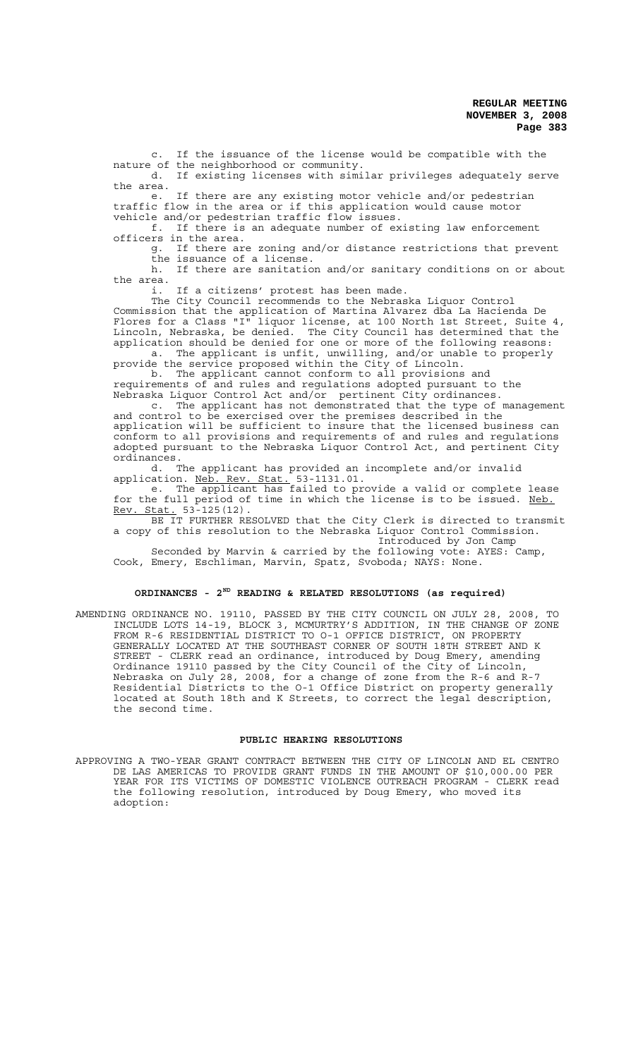c. If the issuance of the license would be compatible with the nature of the neighborhood or community. If existing licenses with similar privileges adequately serve

the area.

e. If there are any existing motor vehicle and/or pedestrian traffic flow in the area or if this application would cause motor vehicle and/or pedestrian traffic flow issues.

f. If there is an adequate number of existing law enforcement officers in the area.

g. If there are zoning and/or distance restrictions that prevent the issuance of a license.

h. If there are sanitation and/or sanitary conditions on or about the area.

i. If a citizens' protest has been made.

The City Council recommends to the Nebraska Liquor Control Commission that the application of Martina Alvarez dba La Hacienda De Flores for a Class "I" liquor license, at 100 North 1st Street, Suite 4, Lincoln, Nebraska, be denied. The City Council has determined that the application should be denied for one or more of the following reasons: a. The applicant is unfit, unwilling, and/or unable to properly

provide the service proposed within the City of Lincoln. b. The applicant cannot conform to all provisions and

requirements of and rules and regulations adopted pursuant to the Nebraska Liquor Control Act and/or pertinent City ordinances.

c. The applicant has not demonstrated that the type of management and control to be exercised over the premises described in the application will be sufficient to insure that the licensed business can conform to all provisions and requirements of and rules and regulations adopted pursuant to the Nebraska Liquor Control Act, and pertinent City ordinances.

d. The applicant has provided an incomplete and/or invalid application. Neb. Rev. Stat. 53-1131.01.

e. The applicant has failed to provide a valid or complete lease for the full period of time in which the license is to be issued. Neb. Rev. Stat. 53-125(12).

BE IT FURTHER RESOLVED that the City Clerk is directed to transmit a copy of this resolution to the Nebraska Liquor Control Commission.

Introduced by Jon Camp Seconded by Marvin & carried by the following vote: AYES: Camp, Cook, Emery, Eschliman, Marvin, Spatz, Svoboda; NAYS: None.

#### **ORDINANCES - 2ND READING & RELATED RESOLUTIONS (as required)**

AMENDING ORDINANCE NO. 19110, PASSED BY THE CITY COUNCIL ON JULY 28, 2008, TO INCLUDE LOTS 14-19, BLOCK 3, MCMURTRY'S ADDITION, IN THE CHANGE OF ZONE FROM R-6 RESIDENTIAL DISTRICT TO O-1 OFFICE DISTRICT, ON PROPERTY GENERALLY LOCATED AT THE SOUTHEAST CORNER OF SOUTH 18TH STREET AND K STREET - CLERK read an ordinance, introduced by Doug Emery, amending Ordinance 19110 passed by the City Council of the City of Lincoln, Nebraska on July 28, 2008, for a change of zone from the R-6 and R-7 Residential Districts to the O-1 Office District on property generally located at South 18th and K Streets, to correct the legal description, the second time.

#### **PUBLIC HEARING RESOLUTIONS**

APPROVING A TWO-YEAR GRANT CONTRACT BETWEEN THE CITY OF LINCOLN AND EL CENTRO DE LAS AMERICAS TO PROVIDE GRANT FUNDS IN THE AMOUNT OF \$10,000.00 PER YEAR FOR ITS VICTIMS OF DOMESTIC VIOLENCE OUTREACH PROGRAM - CLERK read the following resolution, introduced by Doug Emery, who moved its adoption: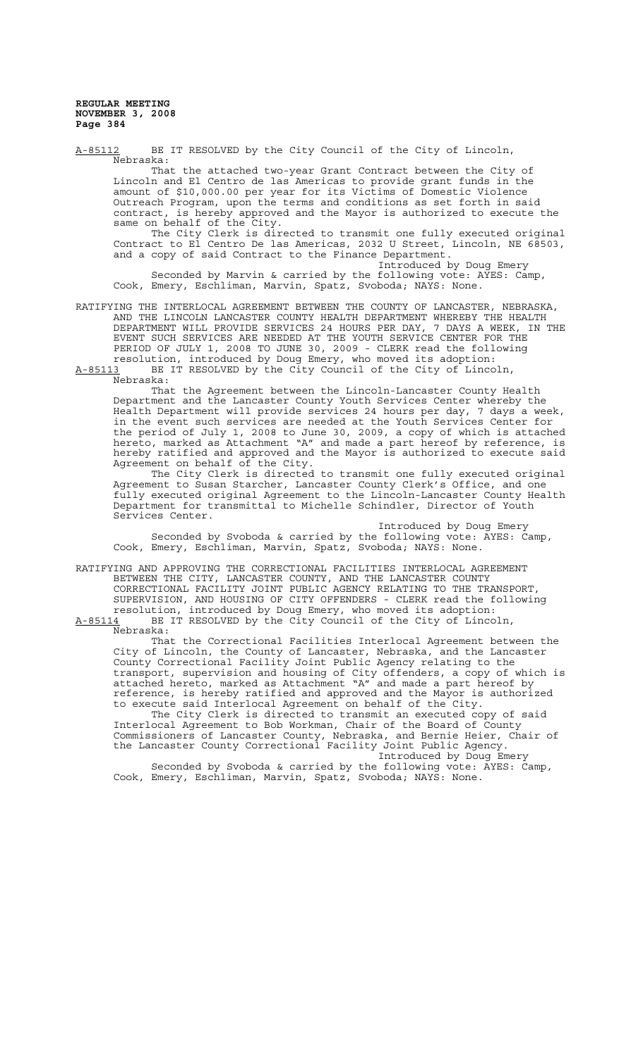Nebraska: That the attached two-year Grant Contract between the City of Lincoln and El Centro de las Americas to provide grant funds in the amount of \$10,000.00 per year for its Victims of Domestic Violence Outreach Program, upon the terms and conditions as set forth in said contract, is hereby approved and the Mayor is authorized to execute the same on behalf of the City. The City Clerk is directed to transmit one fully executed original Contract to El Centro De las Americas, 2032 U Street, Lincoln, NE 68503, and a copy of said Contract to the Finance Department. Introduced by Doug Emery Seconded by Marvin & carried by the following vote: AYES: Camp, Cook, Emery, Eschliman, Marvin, Spatz, Svoboda; NAYS: None. RATIFYING THE INTERLOCAL AGREEMENT BETWEEN THE COUNTY OF LANCASTER, NEBRASKA, AND THE LINCOLN LANCASTER COUNTY HEALTH DEPARTMENT WHEREBY THE HEALTH DEPARTMENT WILL PROVIDE SERVICES 24 HOURS PER DAY, 7 DAYS A WEEK, IN THE EVENT SUCH SERVICES ARE NEEDED AT THE YOUTH SERVICE CENTER FOR THE PERIOD OF JULY 1, 2008 TO JUNE 30, 2009 - CLERK read the following resolution, introduced by Doug Emery, who moved its adoption: A-85113 BE IT RESOLVED by the City Council of the City of Lincoln, Nebraska: That the Agreement between the Lincoln-Lancaster County Health Department and the Lancaster County Youth Services Center whereby the Health Department will provide services 24 hours per day, 7 days a week, in the event such services are needed at the Youth Services Center for the period of July 1, 2008 to June 30, 2009, a copy of which is attached hereto, marked as Attachment "A" and made a part hereof by reference, is hereby ratified and approved and the Mayor is authorized to execute said Agreement on behalf of the City. The City Clerk is directed to transmit one fully executed original

A-85112 BE IT RESOLVED by the City Council of the City of Lincoln,

Agreement to Susan Starcher, Lancaster County Clerk's Office, and one fully executed original Agreement to the Lincoln-Lancaster County Health Department for transmittal to Michelle Schindler, Director of Youth Services Center.

Introduced by Doug Emery Seconded by Svoboda & carried by the following vote: AYES: Camp, Cook, Emery, Eschliman, Marvin, Spatz, Svoboda; NAYS: None.

RATIFYING AND APPROVING THE CORRECTIONAL FACILITIES INTERLOCAL AGREEMENT BETWEEN THE CITY, LANCASTER COUNTY, AND THE LANCASTER COUNTY CORRECTIONAL FACILITY JOINT PUBLIC AGENCY RELATING TO THE TRANSPORT, SUPERVISION, AND HOUSING OF CITY OFFENDERS - CLERK read the following resolution, introduced by Doug Emery, who moved its adoption: A-85114 BE IT RESOLVED by the City Council of the City of Lincoln,

Nebraska:

That the Correctional Facilities Interlocal Agreement between the City of Lincoln, the County of Lancaster, Nebraska, and the Lancaster County Correctional Facility Joint Public Agency relating to the transport, supervision and housing of City offenders, a copy of which is attached hereto, marked as Attachment "A" and made a part hereof by reference, is hereby ratified and approved and the Mayor is authorized to execute said Interlocal Agreement on behalf of the City.

The City Clerk is directed to transmit an executed copy of said Interlocal Agreement to Bob Workman, Chair of the Board of County Commissioners of Lancaster County, Nebraska, and Bernie Heier, Chair of the Lancaster County Correctional Facility Joint Public Agency. Introduced by Doug Emery

Seconded by Svoboda & carried by the following vote: AYES: Camp, Cook, Emery, Eschliman, Marvin, Spatz, Svoboda; NAYS: None.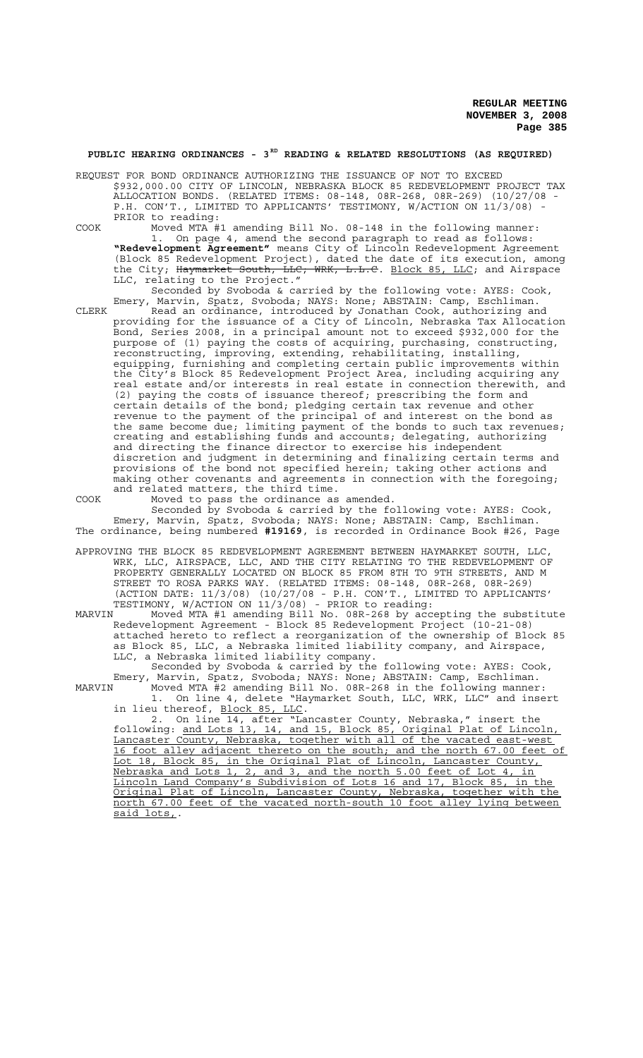# **PUBLIC HEARING ORDINANCES - 3RD READING & RELATED RESOLUTIONS (AS REQUIRED)**

REQUEST FOR BOND ORDINANCE AUTHORIZING THE ISSUANCE OF NOT TO EXCEED \$932,000.00 CITY OF LINCOLN, NEBRASKA BLOCK 85 REDEVELOPMENT PROJECT TAX ALLOCATION BONDS. (RELATED ITEMS: 08-148, 08R-268, 08R-269) (10/27/08 - P.H. CON'T., LIMITED TO APPLICANTS' TESTIMONY, W/ACTION ON 11/3/08) PRIOR to reading:

COOK Moved MTA #1 amending Bill No. 08-148 in the following manner: 1. On page 4, amend the second paragraph to read as follows: **"Redevelopment Agreement"** means City of Lincoln Redevelopment Agreement (Block 85 Redevelopment Project), dated the date of its execution, among the City; Haymarket South, LLC; WRK, L.L.C. Block 85, LLC; and Airspace LLC, relating to the Project."

Seconded by Svoboda & carried by the following vote: AYES: Cook, Emery, Marvin, Spatz, Svoboda; NAYS: None; ABSTAIN: Camp, Eschliman.

CLERK Read an ordinance, introduced by Jonathan Cook, authorizing and providing for the issuance of a City of Lincoln, Nebraska Tax Allocation Bond, Series 2008, in a principal amount not to exceed \$932,000 for the purpose of (1) paying the costs of acquiring, purchasing, constructing, reconstructing, improving, extending, rehabilitating, installing, equipping, furnishing and completing certain public improvements within the City's Block 85 Redevelopment Project Area, including acquiring any real estate and/or interests in real estate in connection therewith, and (2) paying the costs of issuance thereof; prescribing the form and certain details of the bond; pledging certain tax revenue and other revenue to the payment of the principal of and interest on the bond as the same become due; limiting payment of the bonds to such tax revenues; creating and establishing funds and accounts; delegating, authorizing and directing the finance director to exercise his independent discretion and judgment in determining and finalizing certain terms and provisions of the bond not specified herein; taking other actions and making other covenants and agreements in connection with the foregoing; and related matters, the third time.

COOK Moved to pass the ordinance as amended.

Seconded by Svoboda & carried by the following vote: AYES: Cook, Emery, Marvin, Spatz, Svoboda; NAYS: None; ABSTAIN: Camp, Eschliman. The ordinance, being numbered **#19169**, is recorded in Ordinance Book #26, Page

APPROVING THE BLOCK 85 REDEVELOPMENT AGREEMENT BETWEEN HAYMARKET SOUTH, LLC, WRK, LLC, AIRSPACE, LLC, AND THE CITY RELATING TO THE REDEVELOPMENT OF PROPERTY GENERALLY LOCATED ON BLOCK 85 FROM 8TH TO 9TH STREETS, AND M STREET TO ROSA PARKS WAY. (RELATED ITEMS: 08-148, 08R-268, 08R-269) (ACTION DATE: 11/3/08) (10/27/08 - P.H. CON'T., LIMITED TO APPLICANTS' TESTIMONY, W/ACTION ON 11/3/08) - PRIOR to reading:

MARVIN Moved MTA #1 amending Bill No. 08R-268 by accepting the substitute Redevelopment Agreement - Block 85 Redevelopment Project (10-21-08) attached hereto to reflect a reorganization of the ownership of Block 85 as Block 85, LLC, a Nebraska limited liability company, and Airspace, LLC, a Nebraska limited liability company.

Seconded by Svoboda & carried by the following vote: AYES: Cook, Emery, Marvin, Spatz, Svoboda; NAYS: None; ABSTAIN: Camp, Eschliman. MARVIN Moved MTA #2 amending Bill No. 08R-268 in the following manner:

1. On line 4, delete "Haymarket South, LLC, WRK, LLC" and insert in lieu thereof, Block 85, LLC.

2. On line 14, after "Lancaster County, Nebraska," insert the following: and Lots 13, 14, and 15, Block 85, Original Plat of Lincoln, Lancaster County, Nebraska, together with all of the vacated east-west 16 foot alley adjacent thereto on the south; and the north 67.00 feet of Lot 18, Block 85, in the Original Plat of Lincoln, Lancaster County, Nebraska and Lots 1, 2, and 3, and the north 5.00 feet of Lot 4, in Lincoln Land Company's Subdivision of Lots 16 and 17, Block 85, in the Original Plat of Lincoln, Lancaster County, Nebraska, together with the north 67.00 feet of the vacated north-south 10 foot alley lying between said lots,.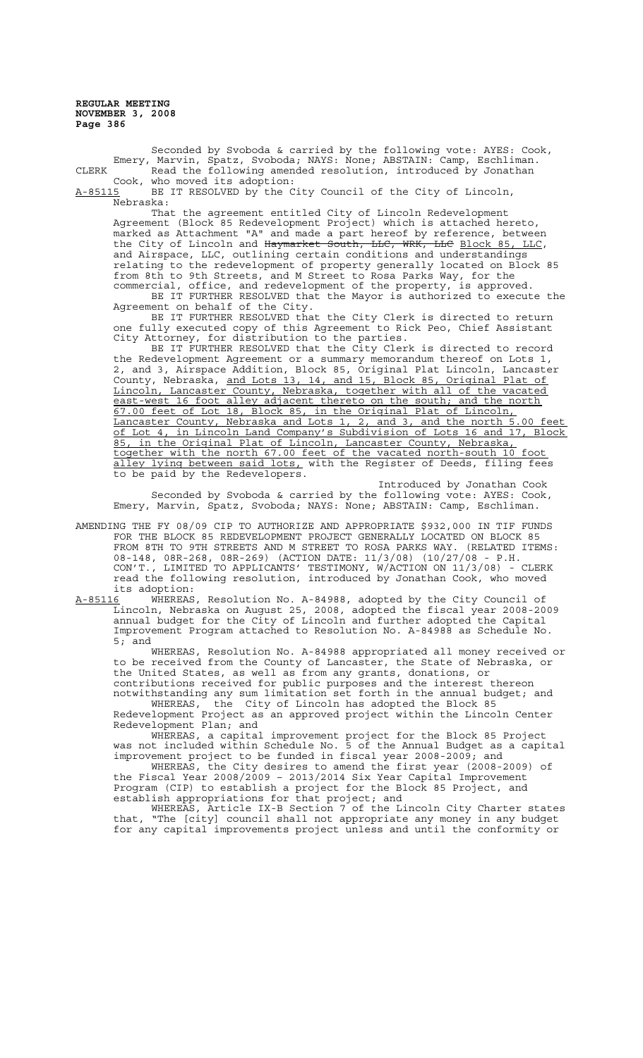Seconded by Svoboda & carried by the following vote: AYES: Cook, Emery, Marvin, Spatz, Svoboda; NAYS: None; ABSTAIN: Camp, Eschliman. CLERK The Read the following amended resolution, introduced by Jonathan Cook, who moved its adoption:<br>A-85115 BE IT RESOLVED by the C

BE IT RESOLVED by the City Council of the City of Lincoln, Nebraska:

That the agreement entitled City of Lincoln Redevelopment Agreement (Block 85 Redevelopment Project) which is attached hereto, marked as Attachment "A" and made a part hereof by reference, between the City of Lincoln and Haymarket South, LLC, WRK, LLC Block 85, LLC, and Airspace, LLC, outlining certain conditions and understandings relating to the redevelopment of property generally located on Block 85 from 8th to 9th Streets, and M Street to Rosa Parks Way, for the commercial, office, and redevelopment of the property, is approved.

BE IT FURTHER RESOLVED that the Mayor is authorized to execute the Agreement on behalf of the City.

BE IT FURTHER RESOLVED that the City Clerk is directed to return one fully executed copy of this Agreement to Rick Peo, Chief Assistant City Attorney, for distribution to the parties.

BE IT FURTHER RESOLVED that the City Clerk is directed to record the Redevelopment Agreement or a summary memorandum thereof on Lots 1, 2, and 3, Airspace Addition, Block 85, Original Plat Lincoln, Lancaster County, Nebraska, and Lots 13, 14, and 15, Block 85, Original Plat of Lincoln, Lancaster County, Nebraska, together with all of the vacated east-west 16 foot alley adjacent thereto on the south; and the north 67.00 feet of Lot 18, Block 85, in the Original Plat of Lincoln, Lancaster County, Nebraska and Lots 1, 2, and 3, and the north 5.00 feet of Lot 4, in Lincoln Land Company's Subdivision of Lots 16 and 17, Block 85, in the Original Plat of Lincoln, Lancaster County, Nebraska, together with the north 67.00 feet of the vacated north-south 10 foot ley lying between said lots, with the Register of Deeds, filing fees to be paid by the Redevelopers.

Introduced by Jonathan Cook Seconded by Svoboda & carried by the following vote: AYES: Cook, Emery, Marvin, Spatz, Svoboda; NAYS: None; ABSTAIN: Camp, Eschliman.

- AMENDING THE FY 08/09 CIP TO AUTHORIZE AND APPROPRIATE \$932,000 IN TIF FUNDS FOR THE BLOCK 85 REDEVELOPMENT PROJECT GENERALLY LOCATED ON BLOCK 85 FROM 8TH TO 9TH STREETS AND M STREET TO ROSA PARKS WAY. (RELATED ITEMS: 08-148, 08R-268, 08R-269) (ACTION DATE: 11/3/08) (10/27/08 - P.H. CON'T., LIMITED TO APPLICANTS' TESTIMONY, W/ACTION ON 11/3/08) - CLERK read the following resolution, introduced by Jonathan Cook, who moved its adoption:
- A-85116 WHEREAS, Resolution No. A-84988, adopted by the City Council of Lincoln, Nebraska on August 25, 2008, adopted the fiscal year 2008-2009 annual budget for the City of Lincoln and further adopted the Capital Improvement Program attached to Resolution No. A-84988 as Schedule No. 5; and

WHEREAS, Resolution No. A-84988 appropriated all money received or to be received from the County of Lancaster, the State of Nebraska, or the United States, as well as from any grants, donations, or contributions received for public purposes and the interest thereon notwithstanding any sum limitation set forth in the annual budget; and

WHEREAS, the City of Lincoln has adopted the Block 85 Nedevelopment, the City of Lincoln has adopted the Block 85<br>Redevelopment Project as an approved project within the Lincoln Center Redevelopment Plan; and

WHEREAS, a capital improvement project for the Block 85 Project was not included within Schedule No. 5 of the Annual Budget as a capital improvement project to be funded in fiscal year 2008-2009; and

WHEREAS, the City desires to amend the first year (2008-2009) of the Fiscal Year 2008/2009 – 2013/2014 Six Year Capital Improvement Program (CIP) to establish a project for the Block 85 Project, and establish appropriations for that project; and

WHEREAS, Article IX-B Section 7 of the Lincoln City Charter states that, "The [city] council shall not appropriate any money in any budget for any capital improvements project unless and until the conformity or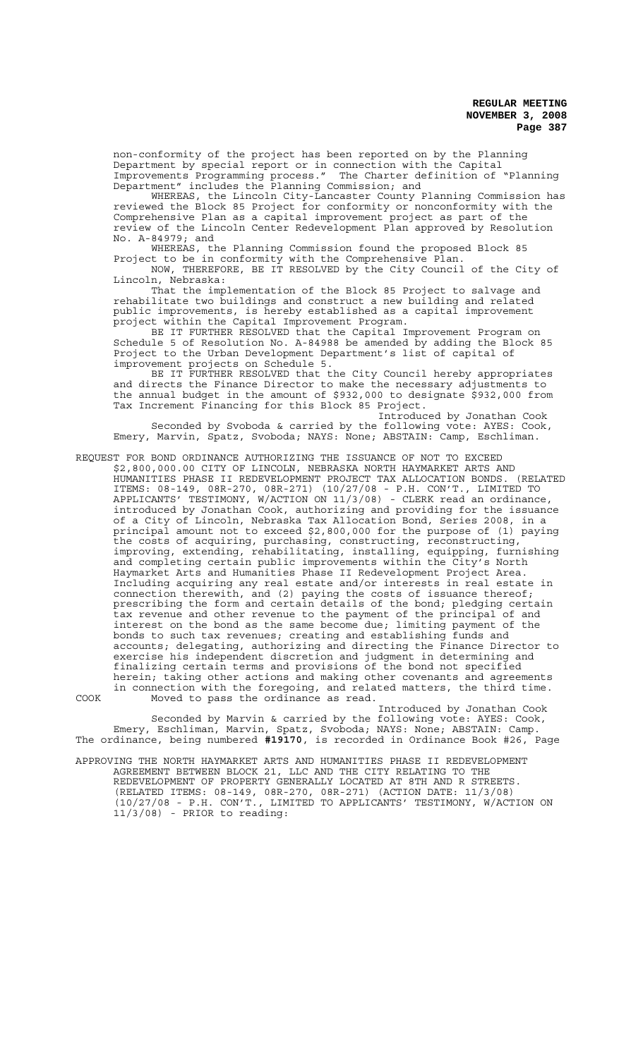non-conformity of the project has been reported on by the Planning Department by special report or in connection with the Capital Improvements Programming process." The Charter definition of "Planning Department" includes the Planning Commission; and

WHEREAS, the Lincoln City-Lancaster County Planning Commission has reviewed the Block 85 Project for conformity or nonconformity with the Comprehensive Plan as a capital improvement project as part of the review of the Lincoln Center Redevelopment Plan approved by Resolution No. A-84979; and

WHEREAS, the Planning Commission found the proposed Block 85 Project to be in conformity with the Comprehensive Plan.

NOW, THEREFORE, BE IT RESOLVED by the City Council of the City of Lincoln, Nebraska:

That the implementation of the Block 85 Project to salvage and rehabilitate two buildings and construct a new building and related public improvements, is hereby established as a capital improvement project within the Capital Improvement Program.

BE IT FURTHER RESOLVED that the Capital Improvement Program on Schedule 5 of Resolution No. A-84988 be amended by adding the Block 85 Project to the Urban Development Department's list of capital of improvement projects on Schedule 5.

BE IT FURTHER RESOLVED that the City Council hereby appropriates and directs the Finance Director to make the necessary adjustments to the annual budget in the amount of \$932,000 to designate \$932,000 from Tax Increment Financing for this Block 85 Project.

Introduced by Jonathan Cook Seconded by Svoboda & carried by the following vote: AYES: Cook, Emery, Marvin, Spatz, Svoboda; NAYS: None; ABSTAIN: Camp, Eschliman.

REQUEST FOR BOND ORDINANCE AUTHORIZING THE ISSUANCE OF NOT TO EXCEED

\$2,800,000.00 CITY OF LINCOLN, NEBRASKA NORTH HAYMARKET ARTS AND HUMANITIES PHASE II REDEVELOPMENT PROJECT TAX ALLOCATION BONDS. (RELATED ITEMS: 08-149, 08R-270, 08R-271) (10/27/08 - P.H. CON'T., LIMITED TO APPLICANTS' TESTIMONY, W/ACTION ON 11/3/08) - CLERK read an ordinance, introduced by Jonathan Cook, authorizing and providing for the issuance of a City of Lincoln, Nebraska Tax Allocation Bond, Series 2008, in a principal amount not to exceed \$2,800,000 for the purpose of (1) paying the costs of acquiring, purchasing, constructing, reconstructing, improving, extending, rehabilitating, installing, equipping, furnishing and completing certain public improvements within the City's North Haymarket Arts and Humanities Phase II Redevelopment Project Area. Including acquiring any real estate and/or interests in real estate in connection therewith, and (2) paying the costs of issuance thereof; prescribing the form and certain details of the bond; pledging certain tax revenue and other revenue to the payment of the principal of and interest on the bond as the same become due; limiting payment of the bonds to such tax revenues; creating and establishing funds and accounts; delegating, authorizing and directing the Finance Director to exercise his independent discretion and judgment in determining and finalizing certain terms and provisions of the bond not specified herein; taking other actions and making other covenants and agreements in connection with the foregoing, and related matters, the third time. COOK Moved to pass the ordinance as read.

Introduced by Jonathan Cook Seconded by Marvin & carried by the following vote: AYES: Cook, Emery, Eschliman, Marvin, Spatz, Svoboda; NAYS: None; ABSTAIN: Camp. The ordinance, being numbered **#19170**, is recorded in Ordinance Book #26, Page

APPROVING THE NORTH HAYMARKET ARTS AND HUMANITIES PHASE II REDEVELOPMENT AGREEMENT BETWEEN BLOCK 21, LLC AND THE CITY RELATING TO THE REDEVELOPMENT OF PROPERTY GENERALLY LOCATED AT 8TH AND R STREETS. (RELATED ITEMS: 08-149, 08R-270, 08R-271) (ACTION DATE: 11/3/08) (10/27/08 - P.H. CON'T., LIMITED TO APPLICANTS' TESTIMONY, W/ACTION ON 11/3/08) - PRIOR to reading: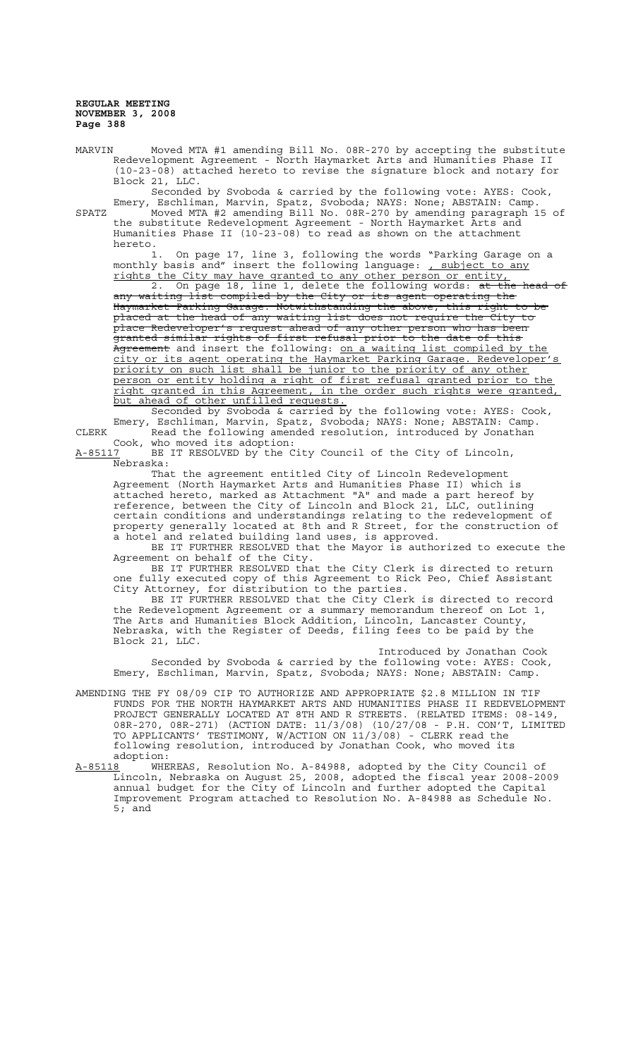MARVIN Moved MTA #1 amending Bill No. 08R-270 by accepting the substitute Redevelopment Agreement - North Haymarket Arts and Humanities Phase II (10-23-08) attached hereto to revise the signature block and notary for Block 21, LLC.

Seconded by Svoboda & carried by the following vote: AYES: Cook, Emery, Eschliman, Marvin, Spatz, Svoboda; NAYS: None; ABSTAIN: Camp. SPATZ Moved MTA #2 amending Bill No. 08R-270 by amending paragraph 15 of the substitute Redevelopment Agreement - North Haymarket Arts and Humanities Phase II (10-23-08) to read as shown on the attachment hereto.

1. On page 17, line 3, following the words "Parking Garage on a monthly basis and" insert the following language: <u>, subject to any</u> rights the City may have granted to any other person or entity, On page 18, line 1, delete the following words: at the head of<br>g list compiled by the City or its agent operating the waiting list compiled by Haymarket Parking Garage. Notwithstanding the above, this right to be placed at the head of any waiting list does not require the City to place Redeveloper's request ahead of any other person who has been granted similar rights of first refusal prior to the date of this Agreement and insert the following: on a waiting list compiled by the city or its agent operating the Haymarket Parking Garage. Redeveloper's priority on such list shall be junior to the priority of any other person or entity holding a right of first refusal granted prior to the right granted in this Agreement, in the order such rights were granted,

but ahead of other unfilled requests. Seconded by Svoboda & carried by the following vote: AYES: Cook, Emery, Eschliman, Marvin, Spatz, Svoboda; NAYS: None; ABSTAIN: Camp. CLERK **Read the following amended resolution, introduced by Jonathan** Cook, who moved its adoption:

A-85117 BE IT RESOLVED by the City Council of the City of Lincoln, Nebraska:

That the agreement entitled City of Lincoln Redevelopment Agreement (North Haymarket Arts and Humanities Phase II) which is attached hereto, marked as Attachment "A" and made a part hereof by reference, between the City of Lincoln and Block 21, LLC, outlining certain conditions and understandings relating to the redevelopment of property generally located at 8th and R Street, for the construction of a hotel and related building land uses, is approved.

BE IT FURTHER RESOLVED that the Mayor is authorized to execute the Agreement on behalf of the City.

BE IT FURTHER RESOLVED that the City Clerk is directed to return one fully executed copy of this Agreement to Rick Peo, Chief Assistant City Attorney, for distribution to the parties.

BE IT FURTHER RESOLVED that the City Clerk is directed to record the Redevelopment Agreement or a summary memorandum thereof on Lot 1, The Arts and Humanities Block Addition, Lincoln, Lancaster County, Nebraska, with the Register of Deeds, filing fees to be paid by the Block 21, LLC.

Introduced by Jonathan Cook Seconded by Svoboda & carried by the following vote: AYES: Cook, Emery, Eschliman, Marvin, Spatz, Svoboda; NAYS: None; ABSTAIN: Camp.

- AMENDING THE FY 08/09 CIP TO AUTHORIZE AND APPROPRIATE \$2.8 MILLION IN TIF FUNDS FOR THE NORTH HAYMARKET ARTS AND HUMANITIES PHASE II REDEVELOPMENT PROJECT GENERALLY LOCATED AT 8TH AND R STREETS. (RELATED ITEMS: 08-149, 08R-270, 08R-271) (ACTION DATE: 11/3/08) (10/27/08 - P.H. CON'T, LIMITED TO APPLICANTS' TESTIMONY, W/ACTION ON 11/3/08) - CLERK read the following resolution, introduced by Jonathan Cook, who moved its adoption:
- A-85118 WHEREAS, Resolution No. A-84988, adopted by the City Council of Lincoln, Nebraska on August 25, 2008, adopted the fiscal year 2008-2009 annual budget for the City of Lincoln and further adopted the Capital Improvement Program attached to Resolution No. A-84988 as Schedule No. 5; and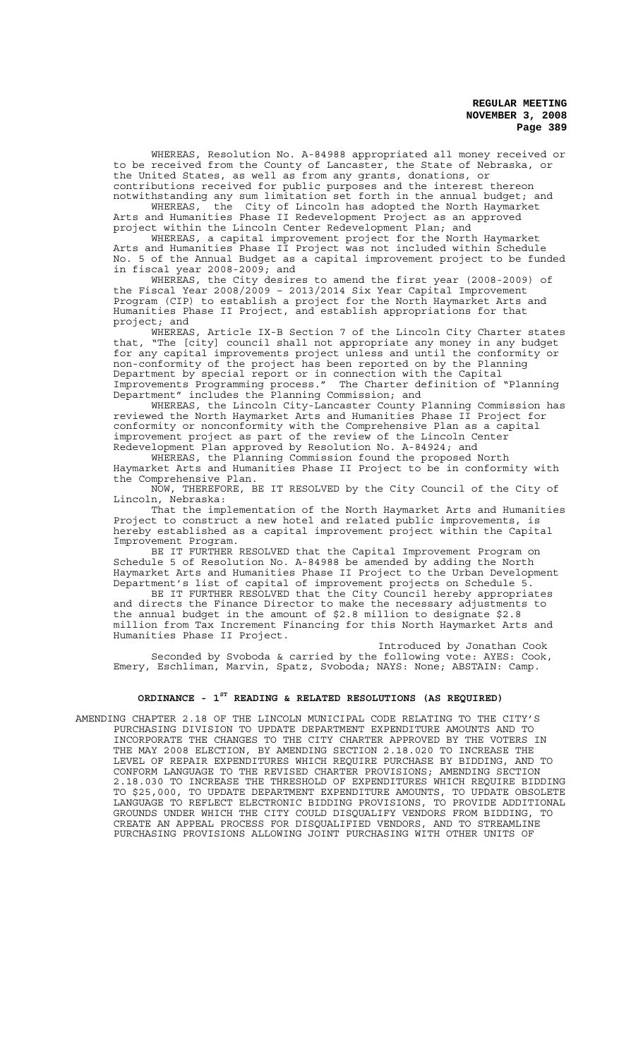WHEREAS, Resolution No. A-84988 appropriated all money received or to be received from the County of Lancaster, the State of Nebraska, or the United States, as well as from any grants, donations, or contributions received for public purposes and the interest thereon

notwithstanding any sum limitation set forth in the annual budget; and WHEREAS, the City of Lincoln has adopted the North Haymarket Arts and Humanities Phase II Redevelopment Project as an approved project within the Lincoln Center Redevelopment Plan; and

WHEREAS, a capital improvement project for the North Haymarket Arts and Humanities Phase II Project was not included within Schedule No. 5 of the Annual Budget as a capital improvement project to be funded in fiscal year  $2008-2009$ ; and

WHEREAS, the City desires to amend the first year (2008-2009) of the Fiscal Year 2008/2009 – 2013/2014 Six Year Capital Improvement Program (CIP) to establish a project for the North Haymarket Arts and Humanities Phase II Project, and establish appropriations for that project; and

WHEREAS, Article IX-B Section 7 of the Lincoln City Charter states that, "The [city] council shall not appropriate any money in any budget for any capital improvements project unless and until the conformity or non-conformity of the project has been reported on by the Planning Department by special report or in connection with the Capital Improvements Programming process." The Charter definition of "Planning Department" includes the Planning Commission; and

WHEREAS, the Lincoln City-Lancaster County Planning Commission has reviewed the North Haymarket Arts and Humanities Phase II Project for conformity or nonconformity with the Comprehensive Plan as a capital improvement project as part of the review of the Lincoln Center Redevelopment Plan approved by Resolution No. A-84924; and

WHEREAS, the Planning Commission found the proposed North Haymarket Arts and Humanities Phase II Project to be in conformity with the Comprehensive Plan.

NOW, THEREFORE, BE IT RESOLVED by the City Council of the City of Lincoln, Nebraska:

That the implementation of the North Haymarket Arts and Humanities Project to construct a new hotel and related public improvements, is hereby established as a capital improvement project within the Capital Improvement Program.

BE IT FURTHER RESOLVED that the Capital Improvement Program on Schedule 5 of Resolution No. A-84988 be amended by adding the North Haymarket Arts and Humanities Phase II Project to the Urban Development Department's list of capital of improvement projects on Schedule 5.

BE IT FURTHER RESOLVED that the City Council hereby appropriates and directs the Finance Director to make the necessary adjustments to the annual budget in the amount of \$2.8 million to designate \$2.8 million from Tax Increment Financing for this North Haymarket Arts and Humanities Phase II Project.

Introduced by Jonathan Cook Seconded by Svoboda & carried by the following vote: AYES: Cook, Emery, Eschliman, Marvin, Spatz, Svoboda; NAYS: None; ABSTAIN: Camp.

## **ORDINANCE - 1ST READING & RELATED RESOLUTIONS (AS REQUIRED)**

AMENDING CHAPTER 2.18 OF THE LINCOLN MUNICIPAL CODE RELATING TO THE CITY'S PURCHASING DIVISION TO UPDATE DEPARTMENT EXPENDITURE AMOUNTS AND TO INCORPORATE THE CHANGES TO THE CITY CHARTER APPROVED BY THE VOTERS IN THE MAY 2008 ELECTION, BY AMENDING SECTION 2.18.020 TO INCREASE THE LEVEL OF REPAIR EXPENDITURES WHICH REQUIRE PURCHASE BY BIDDING, AND TO CONFORM LANGUAGE TO THE REVISED CHARTER PROVISIONS; AMENDING SECTION 2.18.030 TO INCREASE THE THRESHOLD OF EXPENDITURES WHICH REQUIRE BIDDING TO \$25,000, TO UPDATE DEPARTMENT EXPENDITURE AMOUNTS, TO UPDATE OBSOLETE LANGUAGE TO REFLECT ELECTRONIC BIDDING PROVISIONS, TO PROVIDE ADDITIONAL GROUNDS UNDER WHICH THE CITY COULD DISQUALIFY VENDORS FROM BIDDING, TO CREATE AN APPEAL PROCESS FOR DISQUALIFIED VENDORS, AND TO STREAMLINE PURCHASING PROVISIONS ALLOWING JOINT PURCHASING WITH OTHER UNITS OF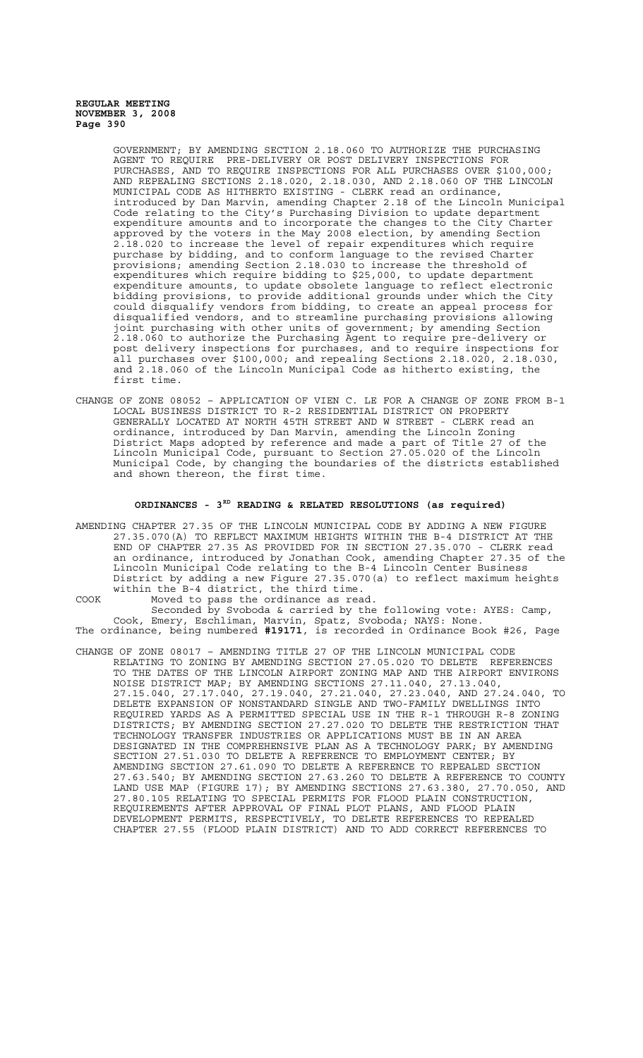> GOVERNMENT; BY AMENDING SECTION 2.18.060 TO AUTHORIZE THE PURCHASING AGENT TO REQUIRE PRE-DELIVERY OR POST DELIVERY INSPECTIONS FOR PURCHASES, AND TO REQUIRE INSPECTIONS FOR ALL PURCHASES OVER \$100,000; AND REPEALING SECTIONS 2.18.020, 2.18.030, AND 2.18.060 OF THE LINCOLN MUNICIPAL CODE AS HITHERTO EXISTING - CLERK read an ordinance, introduced by Dan Marvin, amending Chapter 2.18 of the Lincoln Municipal Code relating to the City's Purchasing Division to update department expenditure amounts and to incorporate the changes to the City Charter approved by the voters in the May 2008 election, by amending Section 2.18.020 to increase the level of repair expenditures which require purchase by bidding, and to conform language to the revised Charter provisions; amending Section 2.18.030 to increase the threshold of expenditures which require bidding to \$25,000, to update department expenditure amounts, to update obsolete language to reflect electronic bidding provisions, to provide additional grounds under which the City could disqualify vendors from bidding, to create an appeal process for disqualified vendors, and to streamline purchasing provisions allowing joint purchasing with other units of government; by amending Section 2.18.060 to authorize the Purchasing Agent to require pre-delivery or post delivery inspections for purchases, and to require inspections for all purchases over \$100,000; and repealing Sections 2.18.020, 2.18.030, and 2.18.060 of the Lincoln Municipal Code as hitherto existing, the first time.

CHANGE OF ZONE 08052 – APPLICATION OF VIEN C. LE FOR A CHANGE OF ZONE FROM B-1 LOCAL BUSINESS DISTRICT TO R-2 RESIDENTIAL DISTRICT ON PROPERTY GENERALLY LOCATED AT NORTH 45TH STREET AND W STREET - CLERK read an ordinance, introduced by Dan Marvin, amending the Lincoln Zoning District Maps adopted by reference and made a part of Title 27 of the Lincoln Municipal Code, pursuant to Section 27.05.020 of the Lincoln Municipal Code, by changing the boundaries of the districts established and shown thereon, the first time.

## **ORDINANCES - 3RD READING & RELATED RESOLUTIONS (as required)**

AMENDING CHAPTER 27.35 OF THE LINCOLN MUNICIPAL CODE BY ADDING A NEW FIGURE 27.35.070(A) TO REFLECT MAXIMUM HEIGHTS WITHIN THE B-4 DISTRICT AT THE END OF CHAPTER 27.35 AS PROVIDED FOR IN SECTION 27.35.070 - CLERK read an ordinance, introduced by Jonathan Cook, amending Chapter 27.35 of the Lincoln Municipal Code relating to the B-4 Lincoln Center Business District by adding a new Figure 27.35.070(a) to reflect maximum heights within the B-4 district, the third time.

COOK Moved to pass the ordinance as read. Seconded by Svoboda & carried by the following vote: AYES: Camp, Cook, Emery, Eschliman, Marvin, Spatz, Svoboda; NAYS: None. The ordinance, being numbered **#19171**, is recorded in Ordinance Book #26, Page

CHANGE OF ZONE 08017 – AMENDING TITLE 27 OF THE LINCOLN MUNICIPAL CODE RELATING TO ZONING BY AMENDING SECTION 27.05.020 TO DELETE REFERENCES TO THE DATES OF THE LINCOLN AIRPORT ZONING MAP AND THE AIRPORT ENVIRONS NOISE DISTRICT MAP; BY AMENDING SECTIONS 27.11.040, 27.13.040, 27.15.040, 27.17.040, 27.19.040, 27.21.040, 27.23.040, AND 27.24.040, TO DELETE EXPANSION OF NONSTANDARD SINGLE AND TWO-FAMILY DWELLINGS INTO REQUIRED YARDS AS A PERMITTED SPECIAL USE IN THE R-1 THROUGH R-8 ZONING DISTRICTS; BY AMENDING SECTION 27.27.020 TO DELETE THE RESTRICTION THAT TECHNOLOGY TRANSFER INDUSTRIES OR APPLICATIONS MUST BE IN AN AREA DESIGNATED IN THE COMPREHENSIVE PLAN AS A TECHNOLOGY PARK; BY AMENDING SECTION 27.51.030 TO DELETE A REFERENCE TO EMPLOYMENT CENTER; BY AMENDING SECTION 27.61.090 TO DELETE A REFERENCE TO REPEALED SECTION 27.63.540; BY AMENDING SECTION 27.63.260 TO DELETE A REFERENCE TO COUNTY LAND USE MAP (FIGURE 17); BY AMENDING SECTIONS 27.63.380, 27.70.050, AND 27.80.105 RELATING TO SPECIAL PERMITS FOR FLOOD PLAIN CONSTRUCTION, REQUIREMENTS AFTER APPROVAL OF FINAL PLOT PLANS, AND FLOOD PLAIN DEVELOPMENT PERMITS, RESPECTIVELY, TO DELETE REFERENCES TO REPEALED CHAPTER 27.55 (FLOOD PLAIN DISTRICT) AND TO ADD CORRECT REFERENCES TO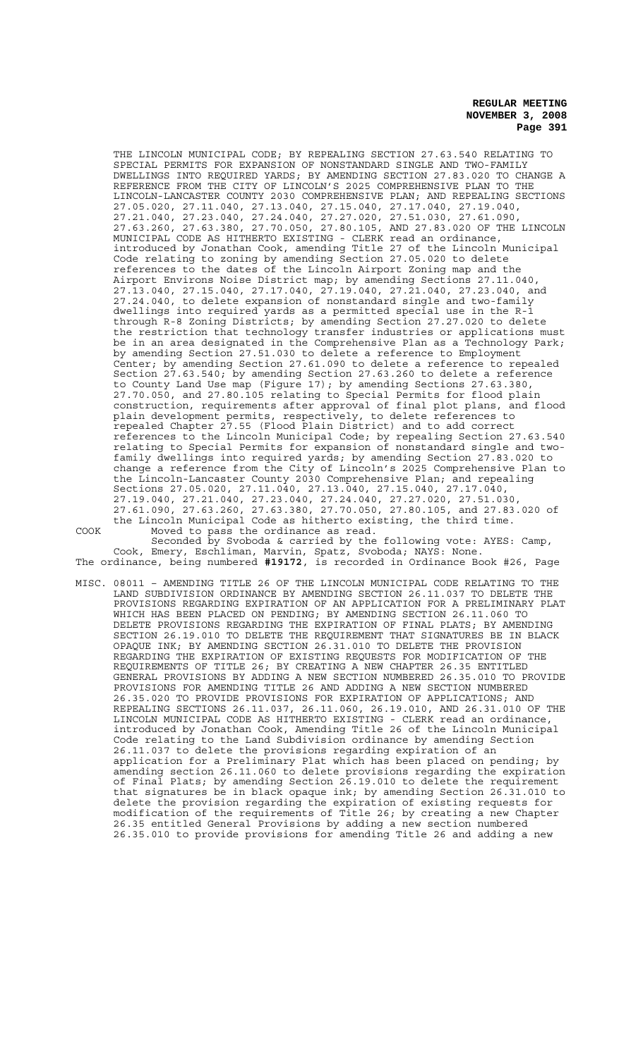THE LINCOLN MUNICIPAL CODE; BY REPEALING SECTION 27.63.540 RELATING TO SPECIAL PERMITS FOR EXPANSION OF NONSTANDARD SINGLE AND TWO-FAMILY DWELLINGS INTO REQUIRED YARDS; BY AMENDING SECTION 27.83.020 TO CHANGE A REFERENCE FROM THE CITY OF LINCOLN'S 2025 COMPREHENSIVE PLAN TO THE LINCOLN-LANCASTER COUNTY 2030 COMPREHENSIVE PLAN; AND REPEALING SECTIONS 27.05.020, 27.11.040, 27.13.040, 27.15.040, 27.17.040, 27.19.040, 27.21.040, 27.23.040, 27.24.040, 27.27.020, 27.51.030, 27.61.090, 27.63.260, 27.63.380, 27.70.050, 27.80.105, AND 27.83.020 OF THE LINCOLN MUNICIPAL CODE AS HITHERTO EXISTING - CLERK read an ordinance, introduced by Jonathan Cook, amending Title 27 of the Lincoln Municipal Code relating to zoning by amending Section 27.05.020 to delete references to the dates of the Lincoln Airport Zoning map and the Airport Environs Noise District map; by amending Sections 27.11.040, 27.13.040, 27.15.040, 27.17.040, 27.19.040, 27.21.040, 27.23.040, and 27.24.040, to delete expansion of nonstandard single and two-family dwellings into required yards as a permitted special use in the R-1 through R-8 Zoning Districts; by amending Section 27.27.020 to delete the restriction that technology transfer industries or applications must be in an area designated in the Comprehensive Plan as a Technology Park; by amending Section 27.51.030 to delete a reference to Employment Center; by amending Section 27.61.090 to delete a reference to repealed Section 27.63.540; by amending Section 27.63.260 to delete a reference to County Land Use map (Figure 17); by amending Sections 27.63.380, 27.70.050, and 27.80.105 relating to Special Permits for flood plain construction, requirements after approval of final plot plans, and flood plain development permits, respectively, to delete references to repealed Chapter 27.55 (Flood Plain District) and to add correct references to the Lincoln Municipal Code; by repealing Section 27.63.540 relating to Special Permits for expansion of nonstandard single and twofamily dwellings into required yards; by amending Section 27.83.020 to change a reference from the City of Lincoln's 2025 Comprehensive Plan to the Lincoln-Lancaster County 2030 Comprehensive Plan; and repealing Sections 27.05.020, 27.11.040, 27.13.040, 27.15.040, 27.17.040, 27.19.040, 27.21.040, 27.23.040, 27.24.040, 27.27.020, 27.51.030, 27.61.090, 27.63.260, 27.63.380, 27.70.050, 27.80.105, and 27.83.020 of the Lincoln Municipal Code as hitherto existing, the third time. COOK Moved to pass the ordinance as read.

Seconded by Svoboda & carried by the following vote: AYES: Camp, Cook, Emery, Eschliman, Marvin, Spatz, Svoboda; NAYS: None. The ordinance, being numbered **#19172**, is recorded in Ordinance Book #26, Page

MISC. 08011 – AMENDING TITLE 26 OF THE LINCOLN MUNICIPAL CODE RELATING TO THE LAND SUBDIVISION ORDINANCE BY AMENDING SECTION 26.11.037 TO DELETE THE PROVISIONS REGARDING EXPIRATION OF AN APPLICATION FOR A PRELIMINARY PLAT WHICH HAS BEEN PLACED ON PENDING; BY AMENDING SECTION 26.11.060 TO DELETE PROVISIONS REGARDING THE EXPIRATION OF FINAL PLATS; BY AMENDING SECTION 26.19.010 TO DELETE THE REQUIREMENT THAT SIGNATURES BE IN BLACK OPAQUE INK; BY AMENDING SECTION 26.31.010 TO DELETE THE PROVISION REGARDING THE EXPIRATION OF EXISTING REQUESTS FOR MODIFICATION OF THE REQUIREMENTS OF TITLE 26; BY CREATING A NEW CHAPTER 26.35 ENTITLED GENERAL PROVISIONS BY ADDING A NEW SECTION NUMBERED 26.35.010 TO PROVIDE PROVISIONS FOR AMENDING TITLE 26 AND ADDING A NEW SECTION NUMBERED 26.35.020 TO PROVIDE PROVISIONS FOR EXPIRATION OF APPLICATIONS; AND REPEALING SECTIONS 26.11.037, 26.11.060, 26.19.010, AND 26.31.010 OF THE LINCOLN MUNICIPAL CODE AS HITHERTO EXISTING - CLERK read an ordinance, introduced by Jonathan Cook, Amending Title 26 of the Lincoln Municipal Code relating to the Land Subdivision ordinance by amending Section 26.11.037 to delete the provisions regarding expiration of an application for a Preliminary Plat which has been placed on pending; by amending section 26.11.060 to delete provisions regarding the expiration of Final Plats; by amending Section 26.19.010 to delete the requirement that signatures be in black opaque ink; by amending Section 26.31.010 to delete the provision regarding the expiration of existing requests for modification of the requirements of Title 26; by creating a new Chapter 26.35 entitled General Provisions by adding a new section numbered 26.35.010 to provide provisions for amending Title 26 and adding a new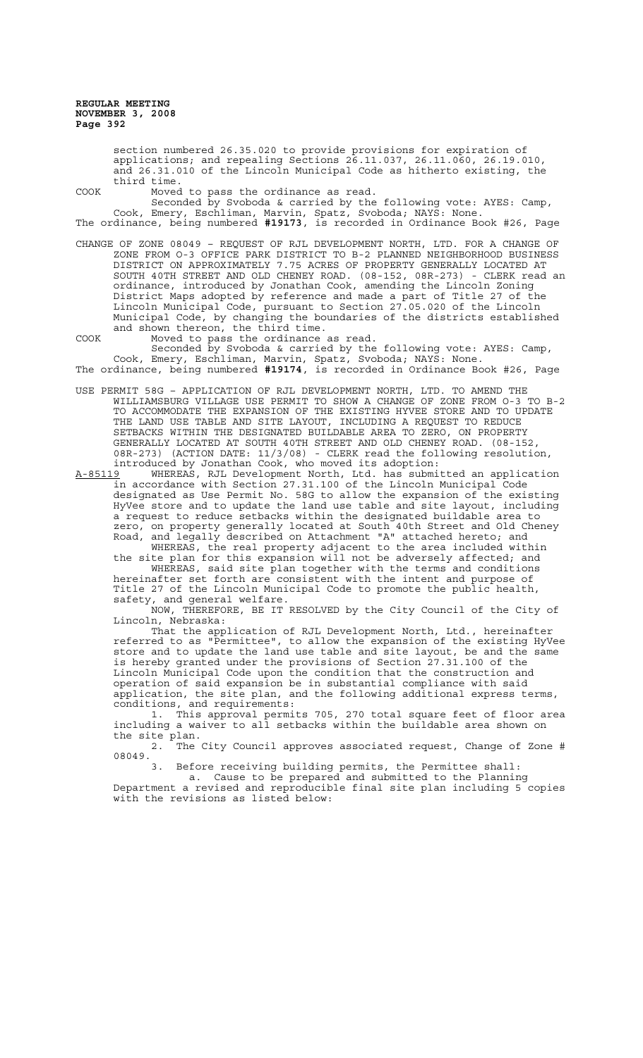section numbered 26.35.020 to provide provisions for expiration of applications; and repealing Sections 26.11.037, 26.11.060, 26.19.010, and 26.31.010 of the Lincoln Municipal Code as hitherto existing, the third time.

COOK Moved to pass the ordinance as read.

Seconded by Svoboda & carried by the following vote: AYES: Camp, Cook, Emery, Eschliman, Marvin, Spatz, Svoboda; NAYS: None. The ordinance, being numbered **#19173**, is recorded in Ordinance Book #26, Page

CHANGE OF ZONE 08049 – REQUEST OF RJL DEVELOPMENT NORTH, LTD. FOR A CHANGE OF ZONE FROM O-3 OFFICE PARK DISTRICT TO B-2 PLANNED NEIGHBORHOOD BUSINESS DISTRICT ON APPROXIMATELY 7.75 ACRES OF PROPERTY GENERALLY LOCATED AT SOUTH 40TH STREET AND OLD CHENEY ROAD. (08-152, 08R-273) - CLERK read an ordinance, introduced by Jonathan Cook, amending the Lincoln Zoning District Maps adopted by reference and made a part of Title 27 of the Lincoln Municipal Code, pursuant to Section 27.05.020 of the Lincoln Municipal Code, by changing the boundaries of the districts established and shown thereon, the third time.

COOK Moved to pass the ordinance as read. Seconded by Svoboda & carried by the following vote: AYES: Camp, Cook, Emery, Eschliman, Marvin, Spatz, Svoboda; NAYS: None. The ordinance, being numbered **#19174**, is recorded in Ordinance Book #26, Page

USE PERMIT 58G – APPLICATION OF RJL DEVELOPMENT NORTH, LTD. TO AMEND THE WILLIAMSBURG VILLAGE USE PERMIT TO SHOW A CHANGE OF ZONE FROM O-3 TO B-2 TO ACCOMMODATE THE EXPANSION OF THE EXISTING HYVEE STORE AND TO UPDATE THE LAND USE TABLE AND SITE LAYOUT, INCLUDING A REQUEST TO REDUCE SETBACKS WITHIN THE DESIGNATED BUILDABLE AREA TO ZERO, ON PROPERTY GENERALLY LOCATED AT SOUTH 40TH STREET AND OLD CHENEY ROAD. (08-152, 08R-273) (ACTION DATE: 11/3/08) - CLERK read the following resolution, introduced by Jonathan Cook, who moved its adoption:

A-85119 WHEREAS, RJL Development North, Ltd. has submitted an application in accordance with Section 27.31.100 of the Lincoln Municipal Code designated as Use Permit No. 58G to allow the expansion of the existing HyVee store and to update the land use table and site layout, including a request to reduce setbacks within the designated buildable area to zero, on property generally located at South 40th Street and Old Cheney Road, and legally described on Attachment "A" attached hereto; and

WHEREAS, the real property adjacent to the area included within the site plan for this expansion will not be adversely affected; and WHEREAS, said site plan together with the terms and conditions hereinafter set forth are consistent with the intent and purpose of

Title 27 of the Lincoln Municipal Code to promote the public health, safety, and general welfare.

NOW, THEREFORE, BE IT RESOLVED by the City Council of the City of Lincoln, Nebraska:

That the application of RJL Development North, Ltd., hereinafter referred to as "Permittee", to allow the expansion of the existing HyVee store and to update the land use table and site layout, be and the same is hereby granted under the provisions of Section 27.31.100 of the Lincoln Municipal Code upon the condition that the construction and operation of said expansion be in substantial compliance with said application, the site plan, and the following additional express terms, conditions, and requirements:

1. This approval permits 705, 270 total square feet of floor area including a waiver to all setbacks within the buildable area shown on the site plan.

2. The City Council approves associated request, Change of Zone #  $08049.$ 

Before receiving building permits, the Permittee shall:

a. Cause to be prepared and submitted to the Planning Department a revised and reproducible final site plan including 5 copies with the revisions as listed below: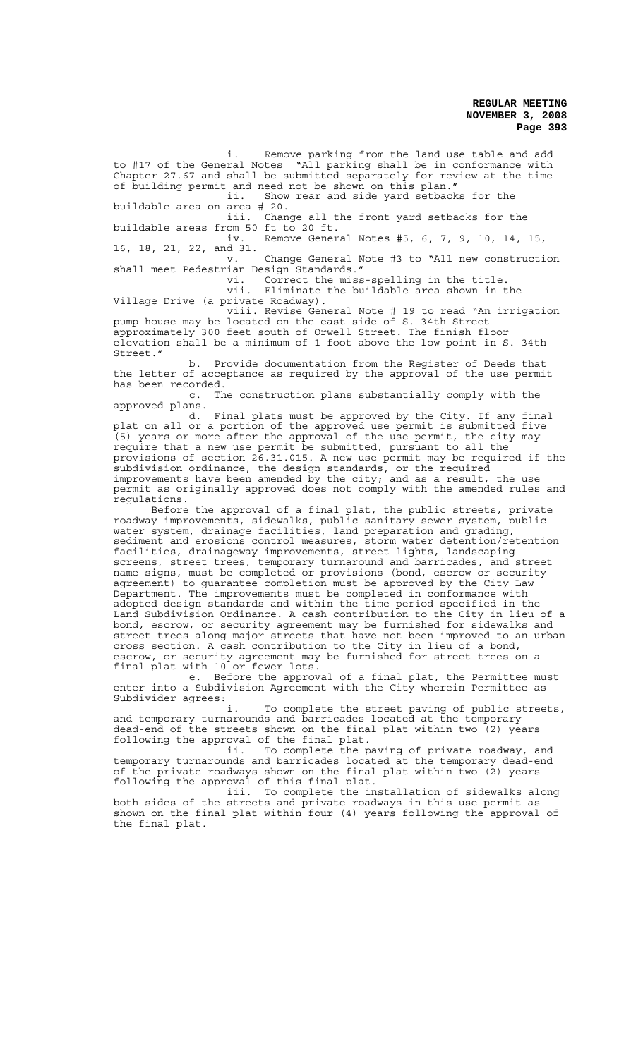i. Remove parking from the land use table and add to #17 of the General Notes "All parking shall be in conformance with Chapter 27.67 and shall be submitted separately for review at the time of building permit and need not be shown on this plan." ii. Show rear and side yard setbacks for the buildable area on area # 20. iii. Change all the front yard setbacks for the buildable areas from 50 ft to 20 ft. iv. Remove General Notes #5, 6, 7, 9, 10, 14, 15, 16, 18, 21, 22, and 31. Change General Note #3 to "All new construction shall meet Pedestrian Design Standards." vi. Correct the miss-spelling in the title.

vii. Eliminate the buildable area shown in the Village Drive (a private Roadway).

viii. Revise General Note # 19 to read "An irrigation pump house may be located on the east side of S. 34th Street approximately 300 feet south of Orwell Street. The finish floor elevation shall be a minimum of 1 foot above the low point in S. 34th Street."

b. Provide documentation from the Register of Deeds that the letter of acceptance as required by the approval of the use permit has been recorded.<br>c. Th

The construction plans substantially comply with the approved plans.

d. Final plats must be approved by the City. If any final plat on all or a portion of the approved use permit is submitted five (5) years or more after the approval of the use permit, the city may require that a new use permit be submitted, pursuant to all the provisions of section 26.31.015. A new use permit may be required if the subdivision ordinance, the design standards, or the required improvements have been amended by the city; and as a result, the use permit as originally approved does not comply with the amended rules and regulations.

Before the approval of a final plat, the public streets, private roadway improvements, sidewalks, public sanitary sewer system, public water system, drainage facilities, land preparation and grading, sediment and erosions control measures, storm water detention/retention facilities, drainageway improvements, street lights, landscaping screens, street trees, temporary turnaround and barricades, and street name signs, must be completed or provisions (bond, escrow or security agreement) to guarantee completion must be approved by the City Law Department. The improvements must be completed in conformance with adopted design standards and within the time period specified in the Land Subdivision Ordinance. A cash contribution to the City in lieu of a bond, escrow, or security agreement may be furnished for sidewalks and street trees along major streets that have not been improved to an urban cross section. A cash contribution to the City in lieu of a bond, escrow, or security agreement may be furnished for street trees on a final plat with 10 or fewer lots.

e. Before the approval of a final plat, the Permittee must enter into a Subdivision Agreement with the City wherein Permittee as Subdivider agrees:

To complete the street paving of public streets, and temporary turnarounds and barricades located at the temporary dead-end of the streets shown on the final plat within two (2) years following the approval of the final plat.

ii. To complete the paving of private roadway, and temporary turnarounds and barricades located at the temporary dead-end of the private roadways shown on the final plat within two (2) years following the approval of this final plat.

iii. To complete the installation of sidewalks along both sides of the streets and private roadways in this use permit as shown on the final plat within four (4) years following the approval of the final plat.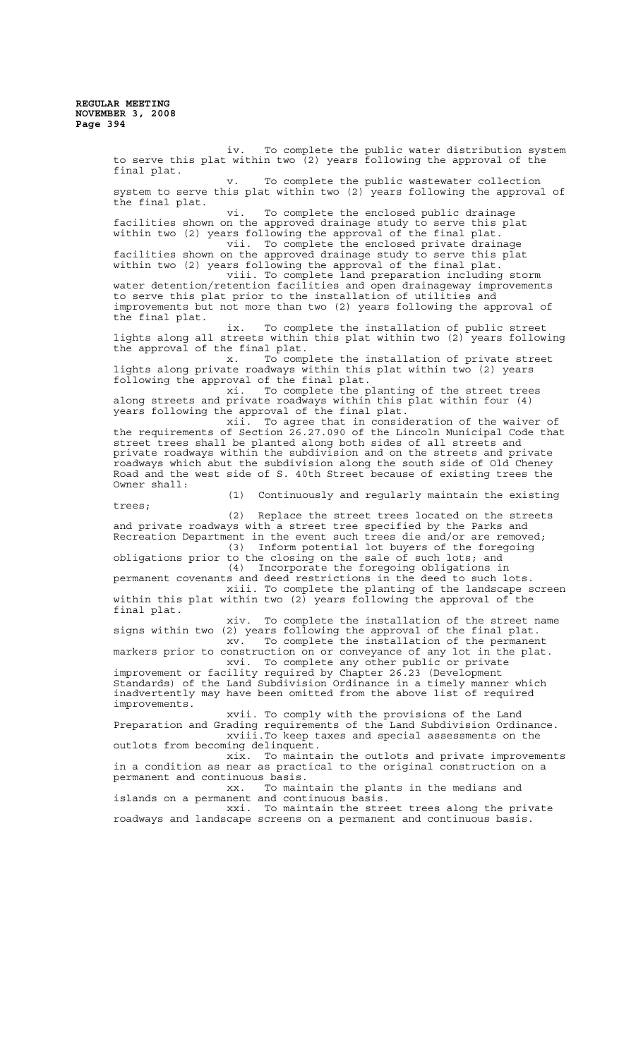iv. To complete the public water distribution system to serve this plat within two (2) years following the approval of the final plat. v. To complete the public wastewater collection system to serve this plat within two (2) years following the approval of the final plat. vi. To complete the enclosed public drainage facilities shown on the approved drainage study to serve this plat within two (2) years following the approval of the final plat. vii. To complete the enclosed private drainage facilities shown on the approved drainage study to serve this plat within two (2) years following the approval of the final plat. viii. To complete land preparation including storm water detention/retention facilities and open drainageway improvements to serve this plat prior to the installation of utilities and improvements but not more than two (2) years following the approval of the final plat. ix. To complete the installation of public street lights along all streets within this plat within two (2) years following the approval of the final plat. x. To complete the installation of private street lights along private roadways within this plat within two (2) years following the approval of the final plat. xi. To complete the planting of the street trees along streets and private roadways within this plat within four (4) years following the approval of the final plat. xii. To agree that in consideration of the waiver of the requirements of Section 26.27.090 of the Lincoln Municipal Code that street trees shall be planted along both sides of all streets and private roadways within the subdivision and on the streets and private roadways which abut the subdivision along the south side of Old Cheney Road and the west side of S. 40th Street because of existing trees the Owner shall: (1) Continuously and regularly maintain the existing trees; (2) Replace the street trees located on the streets and private roadways with a street tree specified by the Parks and Recreation Department in the event such trees die and/or are removed; (3) Inform potential lot buyers of the foregoing obligations prior to the closing on the sale of such lots; and (4) Incorporate the foregoing obligations in permanent covenants and deed restrictions in the deed to such lots. xiii. To complete the planting of the landscape screen within this plat within two  $(2)$  years following the approval of the final plat. xiv. To complete the installation of the street name signs within two (2) years following the approval of the final plat. xv. To complete the installation of the permanent xv. To complete the installation of the permanent<br>markers prior to construction on or conveyance of any lot in the plat. xvi. To complete any other public or private improvement or facility required by Chapter 26.23 (Development Standards) of the Land Subdivision Ordinance in a timely manner which inadvertently may have been omitted from the above list of required improvements. xvii. To comply with the provisions of the Land Preparation and Grading requirements of the Land Subdivision Ordinance. xviii.To keep taxes and special assessments on the outlots from becoming delinquent. xix. To maintain the outlots and private improvements in a condition as near as practical to the original construction on a permanent and continuous basis. xx. To maintain the plants in the medians and islands on a permanent and continuous basis. xxi. To maintain the street trees along the private roadways and landscape screens on a permanent and continuous basis.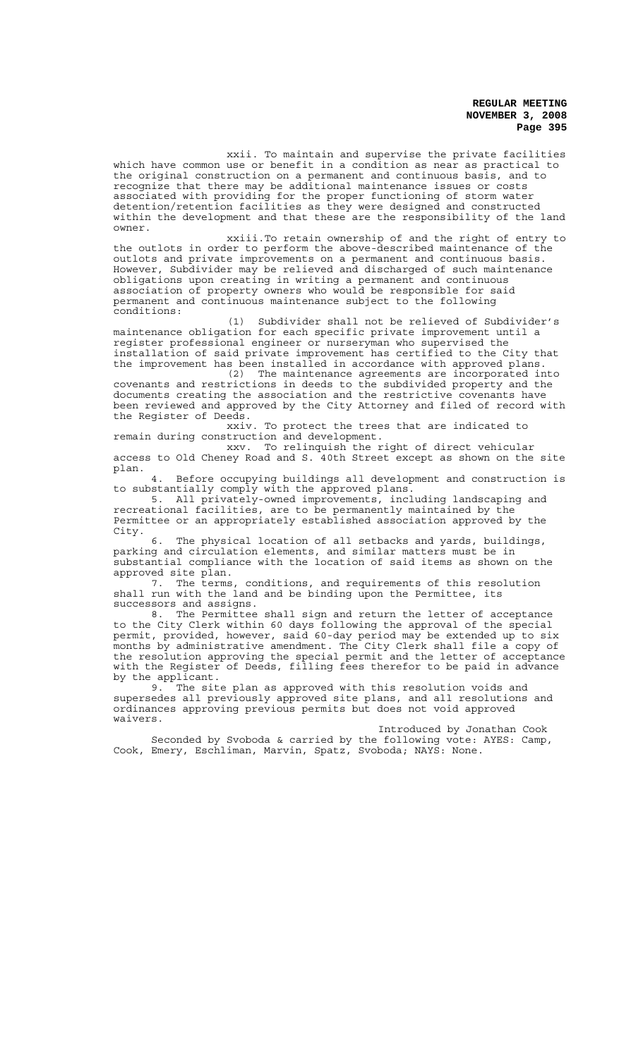xxii. To maintain and supervise the private facilities which have common use or benefit in a condition as near as practical to the original construction on a permanent and continuous basis, and to recognize that there may be additional maintenance issues or costs associated with providing for the proper functioning of storm water detention/retention facilities as they were designed and constructed within the development and that these are the responsibility of the land owner.

xxiii.To retain ownership of and the right of entry to the outlots in order to perform the above-described maintenance of the outlots and private improvements on a permanent and continuous basis. However, Subdivider may be relieved and discharged of such maintenance obligations upon creating in writing a permanent and continuous association of property owners who would be responsible for said permanent and continuous maintenance subject to the following conditions:

(1) Subdivider shall not be relieved of Subdivider's maintenance obligation for each specific private improvement until a register professional engineer or nurseryman who supervised the installation of said private improvement has certified to the City that the improvement has been installed in accordance with approved plans.

(2) The maintenance agreements are incorporated into covenants and restrictions in deeds to the subdivided property and the documents creating the association and the restrictive covenants have been reviewed and approved by the City Attorney and filed of record with the Register of Deeds.

xxiv. To protect the trees that are indicated to remain during construction and development.

xxv. To relinquish the right of direct vehicular access to Old Cheney Road and S. 40th Street except as shown on the site plan.

4. Before occupying buildings all development and construction is to substantially comply with the approved plans.

5. All privately-owned improvements, including landscaping and recreational facilities, are to be permanently maintained by the Permittee or an appropriately established association approved by the City.

6. The physical location of all setbacks and yards, buildings, parking and circulation elements, and similar matters must be in substantial compliance with the location of said items as shown on the approved site plan.

7. The terms, conditions, and requirements of this resolution shall run with the land and be binding upon the Permittee, its successors and assigns.

8. The Permittee shall sign and return the letter of acceptance to the City Clerk within 60 days following the approval of the special permit, provided, however, said 60-day period may be extended up to six months by administrative amendment. The City Clerk shall file a copy of the resolution approving the special permit and the letter of acceptance with the Register of Deeds, filling fees therefor to be paid in advance by the applicant.

9. The site plan as approved with this resolution voids and supersedes all previously approved site plans, and all resolutions and ordinances approving previous permits but does not void approved waivers.

Introduced by Jonathan Cook Seconded by Svoboda & carried by the following vote: AYES: Camp, Cook, Emery, Eschliman, Marvin, Spatz, Svoboda; NAYS: None.